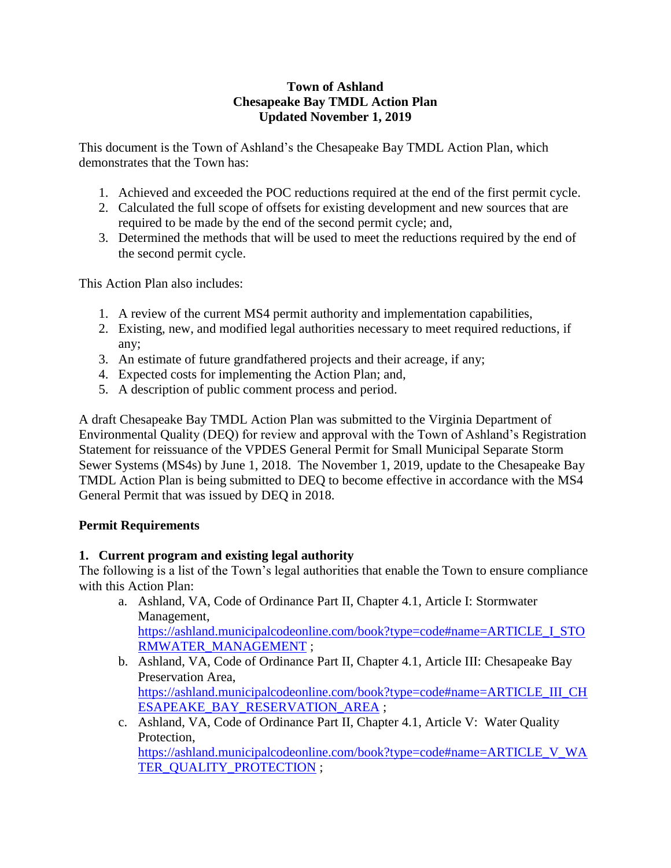## **Town of Ashland Chesapeake Bay TMDL Action Plan Updated November 1, 2019**

This document is the Town of Ashland's the Chesapeake Bay TMDL Action Plan, which demonstrates that the Town has:

- 1. Achieved and exceeded the POC reductions required at the end of the first permit cycle.
- 2. Calculated the full scope of offsets for existing development and new sources that are required to be made by the end of the second permit cycle; and,
- 3. Determined the methods that will be used to meet the reductions required by the end of the second permit cycle.

This Action Plan also includes:

- 1. A review of the current MS4 permit authority and implementation capabilities,
- 2. Existing, new, and modified legal authorities necessary to meet required reductions, if any;
- 3. An estimate of future grandfathered projects and their acreage, if any;
- 4. Expected costs for implementing the Action Plan; and,
- 5. A description of public comment process and period.

A draft Chesapeake Bay TMDL Action Plan was submitted to the Virginia Department of Environmental Quality (DEQ) for review and approval with the Town of Ashland's Registration Statement for reissuance of the VPDES General Permit for Small Municipal Separate Storm Sewer Systems (MS4s) by June 1, 2018. The November 1, 2019, update to the Chesapeake Bay TMDL Action Plan is being submitted to DEQ to become effective in accordance with the MS4 General Permit that was issued by DEQ in 2018.

# **Permit Requirements**

# **1. Current program and existing legal authority**

The following is a list of the Town's legal authorities that enable the Town to ensure compliance with this Action Plan:

- a. Ashland, VA, Code of Ordinance Part II, Chapter 4.1, Article I: Stormwater Management, [https://ashland.municipalcodeonline.com/book?type=code#name=ARTICLE\\_I\\_STO](https://ashland.municipalcodeonline.com/book?type=code#name=ARTICLE_I_STORMWATER_MANAGEMENT) [RMWATER\\_MANAGEMENT](https://ashland.municipalcodeonline.com/book?type=code#name=ARTICLE_I_STORMWATER_MANAGEMENT) ;
- b. Ashland, VA, Code of Ordinance Part II, Chapter 4.1, Article III: Chesapeake Bay Preservation Area, [https://ashland.municipalcodeonline.com/book?type=code#name=ARTICLE\\_III\\_CH](https://ashland.municipalcodeonline.com/book?type=code#name=ARTICLE_III_CHESAPEAKE_BAY_RESERVATION_AREA) [ESAPEAKE\\_BAY\\_RESERVATION\\_AREA](https://ashland.municipalcodeonline.com/book?type=code#name=ARTICLE_III_CHESAPEAKE_BAY_RESERVATION_AREA) ;
- c. Ashland, VA, Code of Ordinance Part II, Chapter 4.1, Article V: Water Quality Protection, [https://ashland.municipalcodeonline.com/book?type=code#name=ARTICLE\\_V\\_WA](https://ashland.municipalcodeonline.com/book?type=code#name=ARTICLE_V_WATER_QUALITY_PROTECTION) [TER\\_QUALITY\\_PROTECTION](https://ashland.municipalcodeonline.com/book?type=code#name=ARTICLE_V_WATER_QUALITY_PROTECTION) ;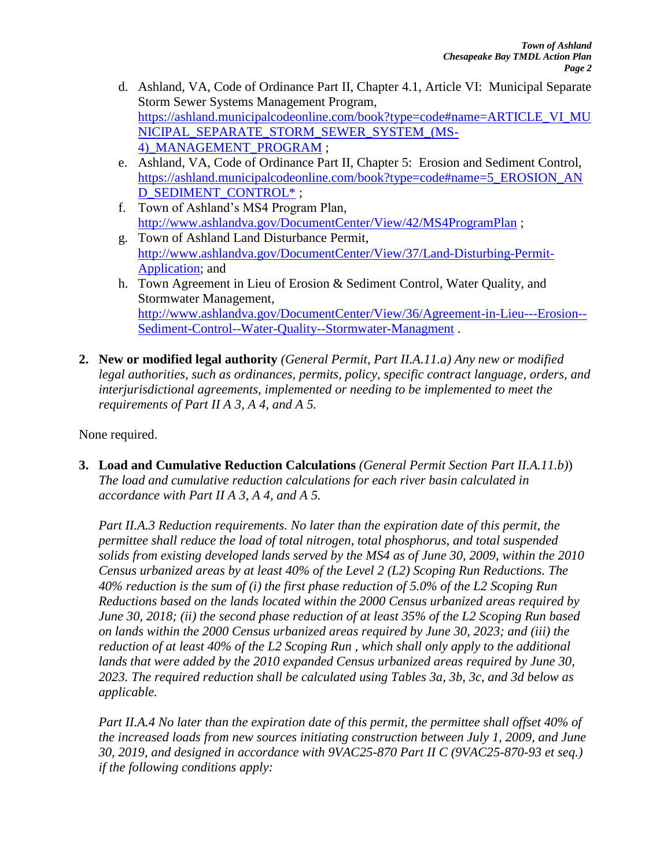- d. Ashland, VA, Code of Ordinance Part II, Chapter 4.1, Article VI: Municipal Separate Storm Sewer Systems Management Program, [https://ashland.municipalcodeonline.com/book?type=code#name=ARTICLE\\_VI\\_MU](https://ashland.municipalcodeonline.com/book?type=code#name=ARTICLE_VI_MUNICIPAL_SEPARATE_STORM_SEWER_SYSTEM_(MS-4)_MANAGEMENT_PROGRAM) [NICIPAL\\_SEPARATE\\_STORM\\_SEWER\\_SYSTEM\\_\(MS-](https://ashland.municipalcodeonline.com/book?type=code#name=ARTICLE_VI_MUNICIPAL_SEPARATE_STORM_SEWER_SYSTEM_(MS-4)_MANAGEMENT_PROGRAM)4) MANAGEMENT PROGRAM ;
- e. Ashland, VA, Code of Ordinance Part II, Chapter 5: Erosion and Sediment Control, [https://ashland.municipalcodeonline.com/book?type=code#name=5\\_EROSION\\_AN](https://ashland.municipalcodeonline.com/book?type=code#name=5_EROSION_AND_SEDIMENT_CONTROL*) [D\\_SEDIMENT\\_CONTROL\\*](https://ashland.municipalcodeonline.com/book?type=code#name=5_EROSION_AND_SEDIMENT_CONTROL*) ;
- f. Town of Ashland's MS4 Program Plan, <http://www.ashlandva.gov/DocumentCenter/View/42/MS4ProgramPlan> ;
- g. Town of Ashland Land Disturbance Permit, [http://www.ashlandva.gov/DocumentCenter/View/37/Land-Disturbing-Permit-](http://www.ashlandva.gov/DocumentCenter/View/37/Land-Disturbing-Permit-Application)[Application;](http://www.ashlandva.gov/DocumentCenter/View/37/Land-Disturbing-Permit-Application) and
- h. Town Agreement in Lieu of Erosion & Sediment Control, Water Quality, and Stormwater Management, [http://www.ashlandva.gov/DocumentCenter/View/36/Agreement-in-Lieu---Erosion--](http://www.ashlandva.gov/DocumentCenter/View/36/Agreement-in-Lieu---Erosion--Sediment-Control--Water-Quality--Stormwater-Managment) [Sediment-Control--Water-Quality--Stormwater-Managment](http://www.ashlandva.gov/DocumentCenter/View/36/Agreement-in-Lieu---Erosion--Sediment-Control--Water-Quality--Stormwater-Managment) .
- **2. New or modified legal authority** *(General Permit, Part II.A.11.a) Any new or modified legal authorities, such as ordinances, permits, policy, specific contract language, orders, and interjurisdictional agreements, implemented or needing to be implemented to meet the requirements of Part II A 3, A 4, and A 5.*

None required.

**3. Load and Cumulative Reduction Calculations** *(General Permit Section Part II.A.11.b)*) *The load and cumulative reduction calculations for each river basin calculated in accordance with Part II A 3, A 4, and A 5.*

*Part II.A.3 Reduction requirements. No later than the expiration date of this permit, the permittee shall reduce the load of total nitrogen, total phosphorus, and total suspended solids from existing developed lands served by the MS4 as of June 30, 2009, within the 2010 Census urbanized areas by at least 40% of the Level 2 (L2) Scoping Run Reductions. The 40% reduction is the sum of (i) the first phase reduction of 5.0% of the L2 Scoping Run Reductions based on the lands located within the 2000 Census urbanized areas required by June 30, 2018; (ii) the second phase reduction of at least 35% of the L2 Scoping Run based on lands within the 2000 Census urbanized areas required by June 30, 2023; and (iii) the reduction of at least 40% of the L2 Scoping Run , which shall only apply to the additional lands that were added by the 2010 expanded Census urbanized areas required by June 30, 2023. The required reduction shall be calculated using Tables 3a, 3b, 3c, and 3d below as applicable.*

*Part II.A.4 No later than the expiration date of this permit, the permittee shall offset 40% of the increased loads from new sources initiating construction between July 1, 2009, and June 30, 2019, and designed in accordance with 9VAC25-870 Part II C (9VAC25-870-93 et seq.) if the following conditions apply:*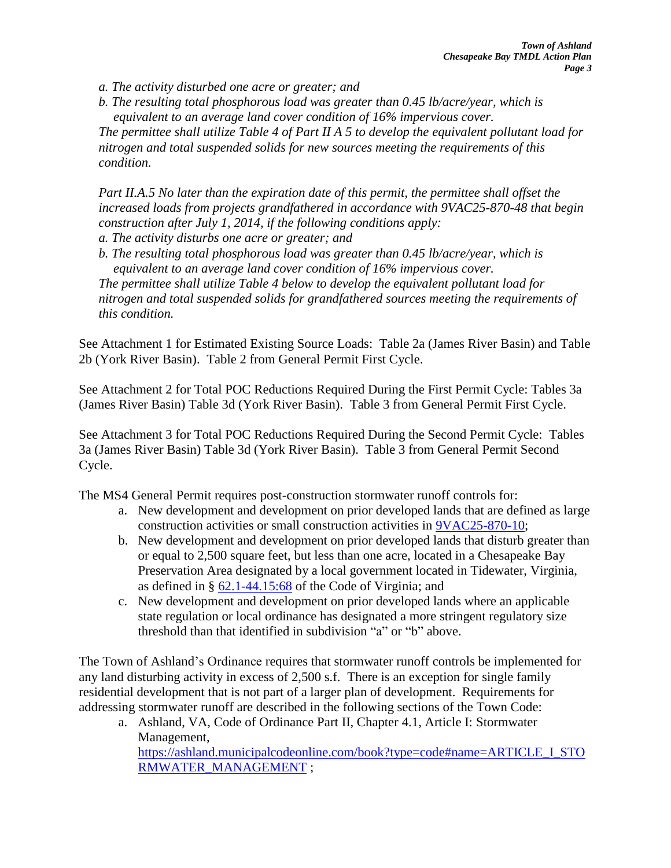*a. The activity disturbed one acre or greater; and*

*b. The resulting total phosphorous load was greater than 0.45 lb/acre/year, which is equivalent to an average land cover condition of 16% impervious cover.*

*The permittee shall utilize Table 4 of Part II A 5 to develop the equivalent pollutant load for nitrogen and total suspended solids for new sources meeting the requirements of this condition.*

*Part II.A.5 No later than the expiration date of this permit, the permittee shall offset the increased loads from projects grandfathered in accordance with 9VAC25-870-48 that begin construction after July 1, 2014, if the following conditions apply:*

*a. The activity disturbs one acre or greater; and*

*b. The resulting total phosphorous load was greater than 0.45 lb/acre/year, which is equivalent to an average land cover condition of 16% impervious cover. The permittee shall utilize Table 4 below to develop the equivalent pollutant load for nitrogen and total suspended solids for grandfathered sources meeting the requirements of this condition.*

See Attachment 1 for Estimated Existing Source Loads: Table 2a (James River Basin) and Table 2b (York River Basin). Table 2 from General Permit First Cycle.

See Attachment 2 for Total POC Reductions Required During the First Permit Cycle: Tables 3a (James River Basin) Table 3d (York River Basin). Table 3 from General Permit First Cycle.

See Attachment 3 for Total POC Reductions Required During the Second Permit Cycle: Tables 3a (James River Basin) Table 3d (York River Basin). Table 3 from General Permit Second Cycle.

The MS4 General Permit requires post-construction stormwater runoff controls for:

- a. New development and development on prior developed lands that are defined as large construction activities or small construction activities in [9VAC25-870-10;](http://lis.virginia.gov/cgi-bin/legp604.exe?000+reg+9VAC25-870-10)
- b. New development and development on prior developed lands that disturb greater than or equal to 2,500 square feet, but less than one acre, located in a Chesapeake Bay Preservation Area designated by a local government located in Tidewater, Virginia, as defined in § [62.1-44.15:68](http://law.lis.virginia.gov/vacode/62.1-44.15:68) of the Code of Virginia; and
- c. New development and development on prior developed lands where an applicable state regulation or local ordinance has designated a more stringent regulatory size threshold than that identified in subdivision "a" or "b" above.

The Town of Ashland's Ordinance requires that stormwater runoff controls be implemented for any land disturbing activity in excess of 2,500 s.f. There is an exception for single family residential development that is not part of a larger plan of development. Requirements for addressing stormwater runoff are described in the following sections of the Town Code:

a. Ashland, VA, Code of Ordinance Part II, Chapter 4.1, Article I: Stormwater Management, [https://ashland.municipalcodeonline.com/book?type=code#name=ARTICLE\\_I\\_STO](https://ashland.municipalcodeonline.com/book?type=code#name=ARTICLE_I_STORMWATER_MANAGEMENT) [RMWATER\\_MANAGEMENT](https://ashland.municipalcodeonline.com/book?type=code#name=ARTICLE_I_STORMWATER_MANAGEMENT) ;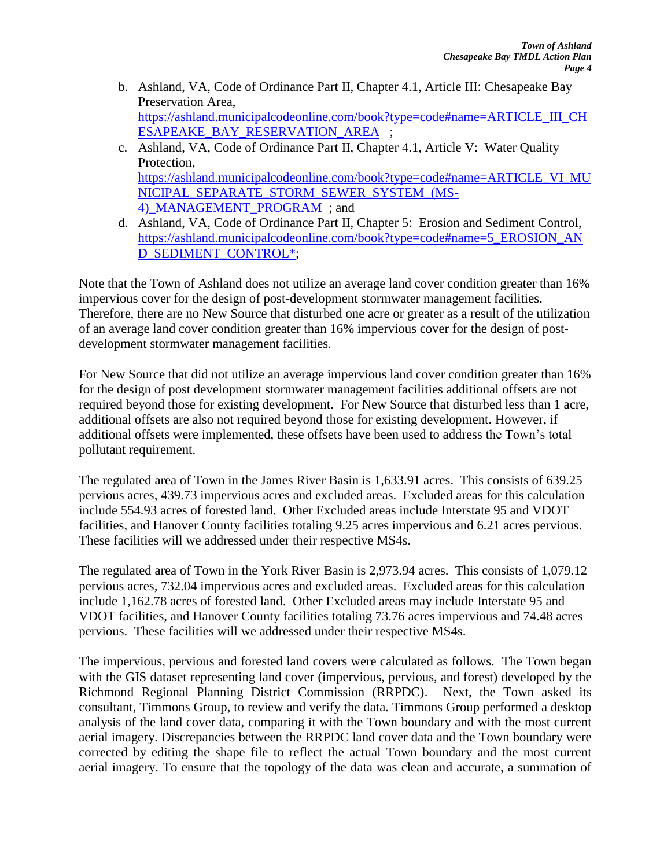- b. Ashland, VA, Code of Ordinance Part II, Chapter 4.1, Article III: Chesapeake Bay Preservation Area, [https://ashland.municipalcodeonline.com/book?type=code#name=ARTICLE\\_III\\_CH](https://ashland.municipalcodeonline.com/book?type=code#name=ARTICLE_III_CHESAPEAKE_BAY_RESERVATION_AREA) [ESAPEAKE\\_BAY\\_RESERVATION\\_AREA](https://ashland.municipalcodeonline.com/book?type=code#name=ARTICLE_III_CHESAPEAKE_BAY_RESERVATION_AREA) ;
- c. Ashland, VA, Code of Ordinance Part II, Chapter 4.1, Article V: Water Quality Protection, [https://ashland.municipalcodeonline.com/book?type=code#name=ARTICLE\\_VI\\_MU](https://ashland.municipalcodeonline.com/book?type=code#name=ARTICLE_VI_MUNICIPAL_SEPARATE_STORM_SEWER_SYSTEM_(MS-4)_MANAGEMENT_PROGRAM) [NICIPAL\\_SEPARATE\\_STORM\\_SEWER\\_SYSTEM\\_\(MS-](https://ashland.municipalcodeonline.com/book?type=code#name=ARTICLE_VI_MUNICIPAL_SEPARATE_STORM_SEWER_SYSTEM_(MS-4)_MANAGEMENT_PROGRAM)[4\)\\_MANAGEMENT\\_PROGRAM](https://ashland.municipalcodeonline.com/book?type=code#name=ARTICLE_VI_MUNICIPAL_SEPARATE_STORM_SEWER_SYSTEM_(MS-4)_MANAGEMENT_PROGRAM) ; and
- d. Ashland, VA, Code of Ordinance Part II, Chapter 5: Erosion and Sediment Control, [https://ashland.municipalcodeonline.com/book?type=code#name=5\\_EROSION\\_AN](https://ashland.municipalcodeonline.com/book?type=code#name=5_EROSION_AND_SEDIMENT_CONTROL*) [D\\_SEDIMENT\\_CONTROL\\*;](https://ashland.municipalcodeonline.com/book?type=code#name=5_EROSION_AND_SEDIMENT_CONTROL*)

Note that the Town of Ashland does not utilize an average land cover condition greater than 16% impervious cover for the design of post-development stormwater management facilities. Therefore, there are no New Source that disturbed one acre or greater as a result of the utilization of an average land cover condition greater than 16% impervious cover for the design of postdevelopment stormwater management facilities.

For New Source that did not utilize an average impervious land cover condition greater than 16% for the design of post development stormwater management facilities additional offsets are not required beyond those for existing development. For New Source that disturbed less than 1 acre, additional offsets are also not required beyond those for existing development. However, if additional offsets were implemented, these offsets have been used to address the Town's total pollutant requirement.

The regulated area of Town in the James River Basin is 1,633.91 acres. This consists of 639.25 pervious acres, 439.73 impervious acres and excluded areas. Excluded areas for this calculation include 554.93 acres of forested land. Other Excluded areas include Interstate 95 and VDOT facilities, and Hanover County facilities totaling 9.25 acres impervious and 6.21 acres pervious. These facilities will we addressed under their respective MS4s.

The regulated area of Town in the York River Basin is 2,973.94 acres. This consists of 1,079.12 pervious acres, 732.04 impervious acres and excluded areas. Excluded areas for this calculation include 1,162.78 acres of forested land. Other Excluded areas may include Interstate 95 and VDOT facilities, and Hanover County facilities totaling 73.76 acres impervious and 74.48 acres pervious. These facilities will we addressed under their respective MS4s.

The impervious, pervious and forested land covers were calculated as follows. The Town began with the GIS dataset representing land cover (impervious, pervious, and forest) developed by the Richmond Regional Planning District Commission (RRPDC). Next, the Town asked its consultant, Timmons Group, to review and verify the data. Timmons Group performed a desktop analysis of the land cover data, comparing it with the Town boundary and with the most current aerial imagery. Discrepancies between the RRPDC land cover data and the Town boundary were corrected by editing the shape file to reflect the actual Town boundary and the most current aerial imagery. To ensure that the topology of the data was clean and accurate, a summation of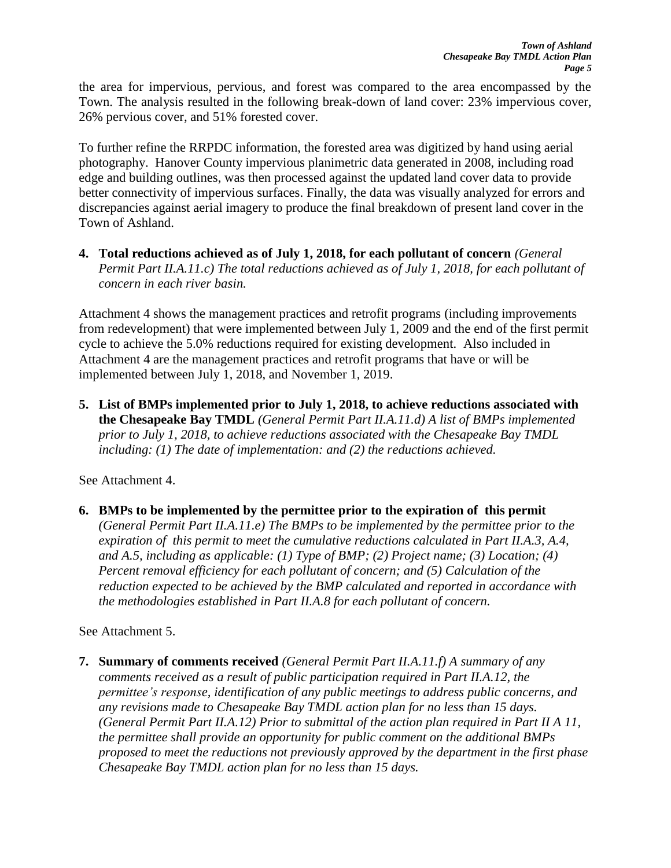the area for impervious, pervious, and forest was compared to the area encompassed by the Town. The analysis resulted in the following break-down of land cover: 23% impervious cover, 26% pervious cover, and 51% forested cover.

To further refine the RRPDC information, the forested area was digitized by hand using aerial photography. Hanover County impervious planimetric data generated in 2008, including road edge and building outlines, was then processed against the updated land cover data to provide better connectivity of impervious surfaces. Finally, the data was visually analyzed for errors and discrepancies against aerial imagery to produce the final breakdown of present land cover in the Town of Ashland.

**4. Total reductions achieved as of July 1, 2018, for each pollutant of concern** *(General Permit Part II.A.11.c) The total reductions achieved as of July 1, 2018, for each pollutant of concern in each river basin.*

Attachment 4 shows the management practices and retrofit programs (including improvements from redevelopment) that were implemented between July 1, 2009 and the end of the first permit cycle to achieve the 5.0% reductions required for existing development. Also included in Attachment 4 are the management practices and retrofit programs that have or will be implemented between July 1, 2018, and November 1, 2019.

**5. List of BMPs implemented prior to July 1, 2018, to achieve reductions associated with the Chesapeake Bay TMDL** *(General Permit Part II.A.11.d) A list of BMPs implemented prior to July 1, 2018, to achieve reductions associated with the Chesapeake Bay TMDL including: (1) The date of implementation: and (2) the reductions achieved.*

See Attachment 4.

**6. BMPs to be implemented by the permittee prior to the expiration of this permit**

*(General Permit Part II.A.11.e) The BMPs to be implemented by the permittee prior to the expiration of this permit to meet the cumulative reductions calculated in Part II.A.3, A.4, and A.5, including as applicable: (1) Type of BMP; (2) Project name; (3) Location; (4) Percent removal efficiency for each pollutant of concern; and (5) Calculation of the reduction expected to be achieved by the BMP calculated and reported in accordance with the methodologies established in Part II.A.8 for each pollutant of concern.*

See Attachment 5.

**7. Summary of comments received** *(General Permit Part II.A.11.f) A summary of any comments received as a result of public participation required in Part II.A.12, the permittee's response, identification of any public meetings to address public concerns, and any revisions made to Chesapeake Bay TMDL action plan for no less than 15 days. (General Permit Part II.A.12) Prior to submittal of the action plan required in Part II A 11, the permittee shall provide an opportunity for public comment on the additional BMPs proposed to meet the reductions not previously approved by the department in the first phase Chesapeake Bay TMDL action plan for no less than 15 days.*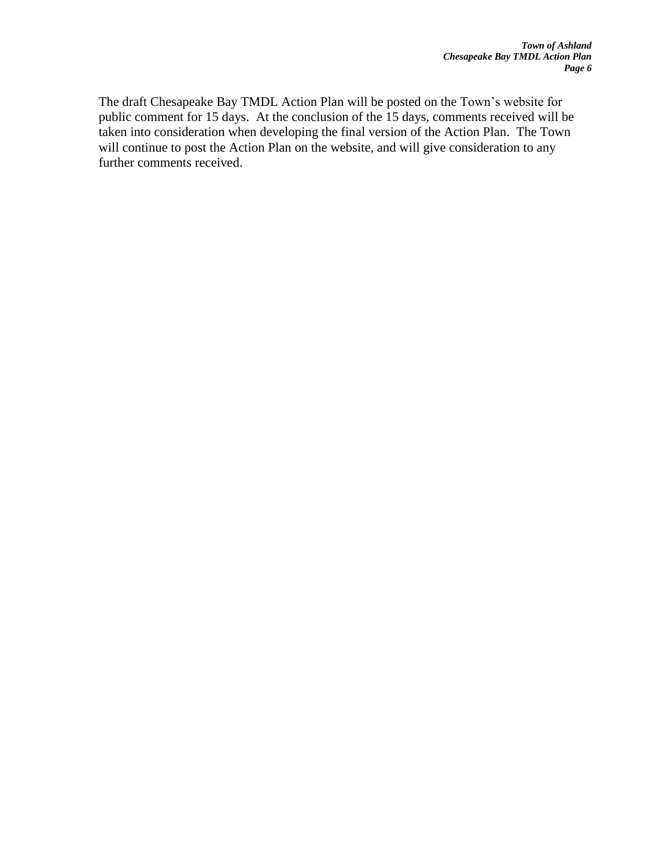The draft Chesapeake Bay TMDL Action Plan will be posted on the Town's website for public comment for 15 days. At the conclusion of the 15 days, comments received will be taken into consideration when developing the final version of the Action Plan. The Town will continue to post the Action Plan on the website, and will give consideration to any further comments received.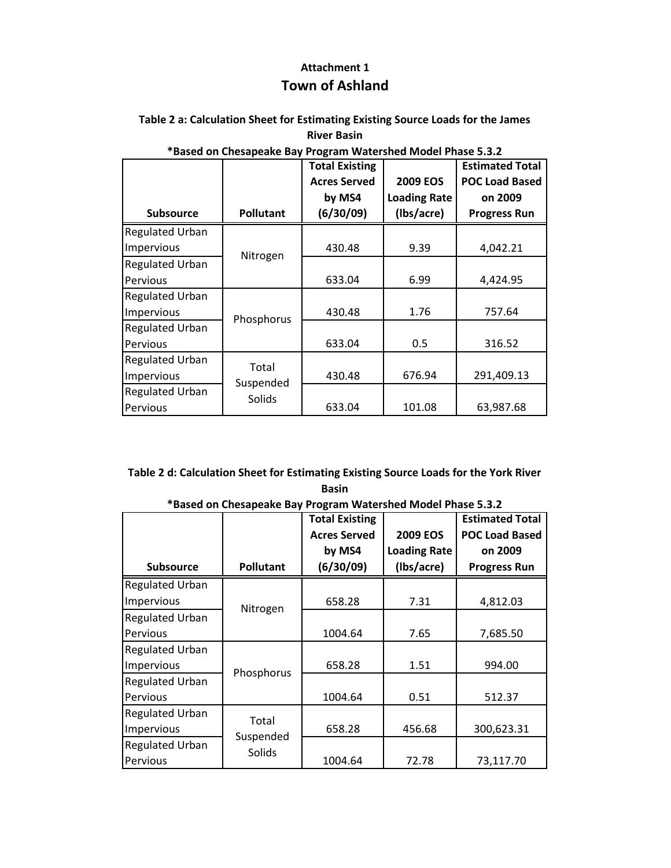# **Attachment 1 Town of Ashland**

## **Table 2 a: Calculation Sheet for Estimating Existing Source Loads for the James River Basin**

|                        |                  | <b>Total Existing</b> |                     | <b>Estimated Total</b> |  |
|------------------------|------------------|-----------------------|---------------------|------------------------|--|
|                        |                  | <b>Acres Served</b>   | <b>2009 EOS</b>     | <b>POC Load Based</b>  |  |
|                        |                  | by MS4                | <b>Loading Rate</b> | on 2009                |  |
| <b>Subsource</b>       | <b>Pollutant</b> | (6/30/09)             | (Ibs/acre)          | <b>Progress Run</b>    |  |
| <b>Regulated Urban</b> |                  |                       |                     |                        |  |
| Impervious             | Nitrogen         | 430.48                | 9.39                | 4,042.21               |  |
| <b>Regulated Urban</b> |                  |                       |                     |                        |  |
| Pervious               |                  | 633.04                | 6.99                | 4,424.95               |  |
| <b>Regulated Urban</b> |                  |                       |                     |                        |  |
| Impervious             | Phosphorus       | 430.48                | 1.76                | 757.64                 |  |
| <b>Regulated Urban</b> |                  |                       |                     |                        |  |
| Pervious               |                  | 633.04                | 0.5                 | 316.52                 |  |
| <b>Regulated Urban</b> | Total            |                       |                     |                        |  |
| Impervious             | Suspended        | 430.48                | 676.94              | 291,409.13             |  |
| <b>Regulated Urban</b> | Solids           |                       |                     |                        |  |
| Pervious               |                  | 633.04                | 101.08              | 63,987.68              |  |

## **\*Based on Chesapeake Bay Program Watershed Model Phase 5.3.2**

## **Table 2 d: Calculation Sheet for Estimating Existing Source Loads for the York River Basin**

|                        |                  | <b>Total Existing</b> |                     | <b>Estimated Total</b> |
|------------------------|------------------|-----------------------|---------------------|------------------------|
|                        |                  | <b>Acres Served</b>   | <b>2009 EOS</b>     | <b>POC Load Based</b>  |
|                        |                  | by MS4                | <b>Loading Rate</b> | on 2009                |
| <b>Subsource</b>       | <b>Pollutant</b> | (6/30/09)             | (Ibs/acre)          | <b>Progress Run</b>    |
| <b>Regulated Urban</b> |                  |                       |                     |                        |
| Impervious             | Nitrogen         | 658.28                | 7.31                | 4,812.03               |
| <b>Regulated Urban</b> |                  |                       |                     |                        |
| Pervious               |                  | 1004.64               | 7.65                | 7,685.50               |
| <b>Regulated Urban</b> |                  |                       |                     |                        |
| Impervious             | Phosphorus       | 658.28                | 1.51                | 994.00                 |
| <b>Regulated Urban</b> |                  |                       |                     |                        |
| Pervious               |                  | 1004.64               | 0.51                | 512.37                 |
| <b>Regulated Urban</b> | Total            |                       |                     |                        |
| Impervious             | Suspended        | 658.28                | 456.68              | 300,623.31             |
| <b>Regulated Urban</b> | Solids           |                       |                     |                        |
| Pervious               |                  | 1004.64               | 72.78               | 73,117.70              |

## **\*Based on Chesapeake Bay Program Watershed Model Phase 5.3.2**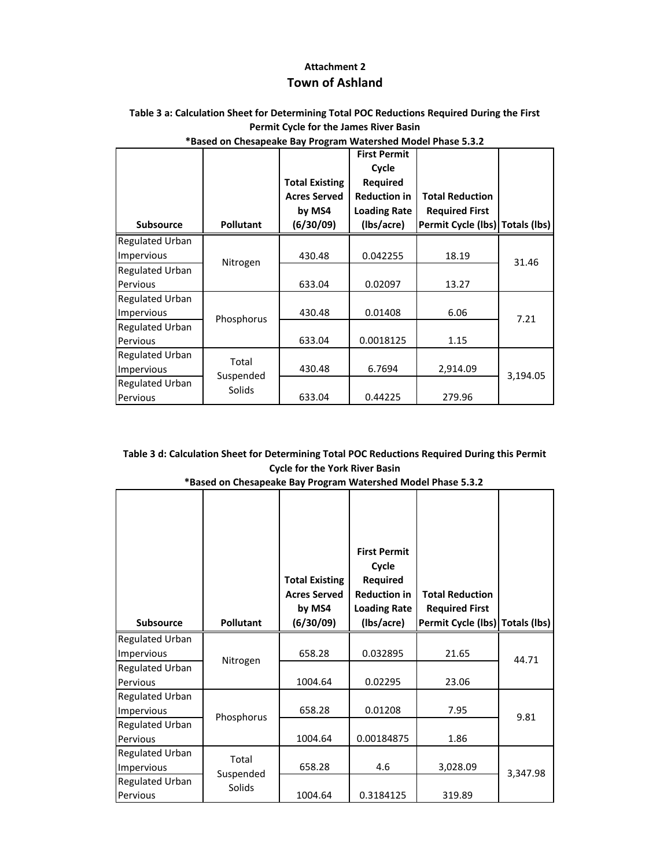## **Attachment 2 Town of Ashland**

### **Table 3 a: Calculation Sheet for Determining Total POC Reductions Required During the First Permit Cycle for the James River Basin**

|                        |                  | <b>Total Existing</b><br><b>Acres Served</b><br>by MS4 | <b>First Permit</b><br>Cycle<br><b>Required</b><br><b>Reduction in</b><br><b>Loading Rate</b> | <b>Total Reduction</b><br><b>Required First</b> |          |  |
|------------------------|------------------|--------------------------------------------------------|-----------------------------------------------------------------------------------------------|-------------------------------------------------|----------|--|
| <b>Subsource</b>       | <b>Pollutant</b> | (6/30/09)                                              | (Ibs/acre)                                                                                    | Permit Cycle (lbs) Totals (lbs)                 |          |  |
| <b>Regulated Urban</b> |                  |                                                        |                                                                                               |                                                 |          |  |
| Impervious             | Nitrogen         | 430.48                                                 | 0.042255                                                                                      | 18.19                                           | 31.46    |  |
| <b>Regulated Urban</b> |                  |                                                        |                                                                                               |                                                 |          |  |
| <b>Pervious</b>        |                  | 633.04                                                 | 0.02097                                                                                       | 13.27                                           |          |  |
| <b>Regulated Urban</b> |                  |                                                        |                                                                                               |                                                 |          |  |
| Impervious             | Phosphorus       | 430.48                                                 | 0.01408                                                                                       | 6.06                                            | 7.21     |  |
| <b>Regulated Urban</b> |                  |                                                        |                                                                                               |                                                 |          |  |
| <b>Pervious</b>        |                  | 633.04                                                 | 0.0018125                                                                                     | 1.15                                            |          |  |
| <b>Regulated Urban</b> | Total            |                                                        |                                                                                               |                                                 |          |  |
| Impervious             | Suspended        | 430.48                                                 | 6.7694                                                                                        | 2,914.09                                        | 3,194.05 |  |
| <b>Regulated Urban</b> | Solids           |                                                        |                                                                                               |                                                 |          |  |
| Pervious               |                  | 633.04                                                 | 0.44225                                                                                       | 279.96                                          |          |  |

### **\*Based on Chesapeake Bay Program Watershed Model Phase 5.3.2**

### **Table 3 d: Calculation Sheet for Determining Total POC Reductions Required During this Permit Cycle for the York River Basin**

| *Based on Chesapeake Bay Program Watershed Model Phase 5.3.2 |  |
|--------------------------------------------------------------|--|
|--------------------------------------------------------------|--|

| <b>Subsource</b>                     | <b>Pollutant</b>   | <b>Total Existing</b><br><b>Acres Served</b><br>by MS4<br>(6/30/09) | <b>First Permit</b><br>Cycle<br>Required<br><b>Reduction in</b><br><b>Loading Rate</b><br>(Ibs/acre) | <b>Total Reduction</b><br><b>Required First</b><br>Permit Cycle (lbs) Totals (lbs) |          |
|--------------------------------------|--------------------|---------------------------------------------------------------------|------------------------------------------------------------------------------------------------------|------------------------------------------------------------------------------------|----------|
| <b>Regulated Urban</b><br>Impervious |                    | 658.28                                                              | 0.032895                                                                                             | 21.65                                                                              | 44.71    |
| <b>Regulated Urban</b><br>Pervious   | Nitrogen           | 1004.64                                                             | 0.02295                                                                                              | 23.06                                                                              |          |
| <b>Regulated Urban</b><br>Impervious | Phosphorus         | 658.28                                                              | 0.01208                                                                                              | 7.95                                                                               | 9.81     |
| <b>Regulated Urban</b><br>Pervious   |                    | 1004.64                                                             | 0.00184875                                                                                           | 1.86                                                                               |          |
| <b>Regulated Urban</b><br>Impervious | Total<br>Suspended | 658.28                                                              | 4.6                                                                                                  | 3,028.09                                                                           | 3,347.98 |
| <b>Regulated Urban</b><br>Pervious   | Solids             | 1004.64                                                             | 0.3184125                                                                                            | 319.89                                                                             |          |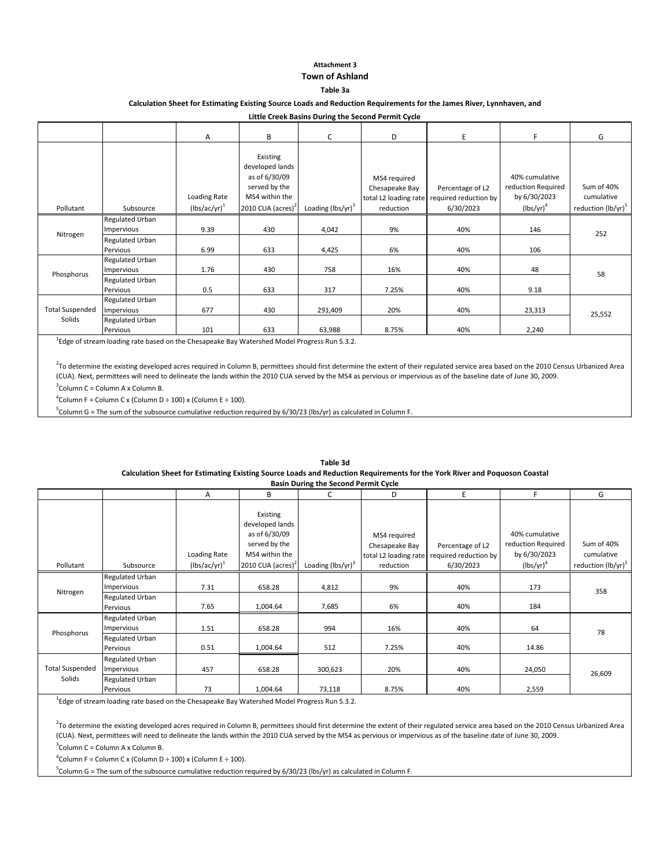### **Attachment 3 Town of Ashland**

### **Table 3a**

### **Calculation Sheet for Estimating Existing Source Loads and Reduction Requirements for the James River, Lynnhaven, and**

**Little Creek Basins During the Second Permit Cycle**

|                                  |                                                                            | $\overline{A}$                    | B                                                                                                                | C                             | D                                           | E                                                                            | F.                                                                   | G                                                          |
|----------------------------------|----------------------------------------------------------------------------|-----------------------------------|------------------------------------------------------------------------------------------------------------------|-------------------------------|---------------------------------------------|------------------------------------------------------------------------------|----------------------------------------------------------------------|------------------------------------------------------------|
| Pollutant                        | Subsource                                                                  | Loading Rate<br>$(lbs/ac/yr)^{1}$ | Existing<br>developed lands<br>as of 6/30/09<br>served by the<br>MS4 within the<br>2010 CUA (acres) <sup>2</sup> | Loading (lbs/yr) <sup>3</sup> | MS4 required<br>Chesapeake Bay<br>reduction | Percentage of L2<br>total L2 loading rate required reduction by<br>6/30/2023 | 40% cumulative<br>reduction Required<br>by 6/30/2023<br>$(lbs/yr)^4$ | Sum of 40%<br>cumulative<br>reduction (lb/yr) <sup>5</sup> |
| Nitrogen                         | <b>Regulated Urban</b><br>Impervious<br><b>Regulated Urban</b><br>Pervious | 9.39<br>6.99                      | 430<br>633                                                                                                       | 4,042<br>4,425                | 9%<br>6%                                    | 40%<br>40%                                                                   | 146<br>106                                                           | 252                                                        |
| Phosphorus                       | <b>Regulated Urban</b><br>Impervious<br><b>Regulated Urban</b><br>Pervious | 1.76<br>0.5                       | 430<br>633                                                                                                       | 758<br>317                    | 16%<br>7.25%                                | 40%<br>40%                                                                   | 48<br>9.18                                                           | 58                                                         |
| <b>Total Suspended</b><br>Solids | <b>Regulated Urban</b><br>Impervious<br><b>Regulated Urban</b><br>Pervious | 677<br>101                        | 430<br>633                                                                                                       | 291,409<br>63,988             | 20%<br>8.75%                                | 40%<br>40%                                                                   | 23,313<br>2,240                                                      | 25,552                                                     |

<sup>1</sup>Edge of stream loading rate based on the Chesapeake Bay Watershed Model Progress Run 5.3.2.

3 Column C = Column A x Column B. <sup>2</sup>To determine the existing developed acres required in Column B, permittees should first determine the extent of their regulated service area based on the 2010 Census Urbanized Area (CUA). Next, permittees will need to delineate the lands within the 2010 CUA served by the MS4 as pervious or impervious as of the baseline date of June 30, 2009.

 $^4$ Column F = Column C x (Column D ÷ 100) x (Column E ÷ 100).

<sup>5</sup>Column G = The sum of the subsource cumulative reduction required by 6/30/23 (lbs/yr) as calculated in Column F.

|                                  |                                                                            |                   |                                                                                 | <b>Basin During the Second Permit Cycle</b> |                                                         |                                           |                                                      |                                |
|----------------------------------|----------------------------------------------------------------------------|-------------------|---------------------------------------------------------------------------------|---------------------------------------------|---------------------------------------------------------|-------------------------------------------|------------------------------------------------------|--------------------------------|
|                                  |                                                                            | A                 | В                                                                               | C                                           | D                                                       | E                                         | F                                                    | G                              |
|                                  |                                                                            | Loading Rate      | Existing<br>developed lands<br>as of 6/30/09<br>served by the<br>MS4 within the |                                             | MS4 required<br>Chesapeake Bay<br>total L2 loading rate | Percentage of L2<br>required reduction by | 40% cumulative<br>reduction Required<br>by 6/30/2023 | Sum of 40%<br>cumulative       |
| Pollutant                        | Subsource                                                                  | $(lbs/ac/yr)^{1}$ | 2010 CUA (acres) <sup>2</sup>                                                   | Loading $(lbs/yr)^3$                        | reduction                                               | 6/30/2023                                 | $(lbs/yr)^4$                                         | reduction (lb/yr) <sup>5</sup> |
| Nitrogen                         | <b>Regulated Urban</b><br>Impervious<br><b>Regulated Urban</b><br>Pervious | 7.31<br>7.65      | 658.28<br>1,004.64                                                              | 4,812<br>7,685                              | 9%<br>6%                                                | 40%<br>40%                                | 173<br>184                                           | 358                            |
| Phosphorus                       | <b>Regulated Urban</b><br>Impervious<br><b>Regulated Urban</b><br>Pervious | 1.51<br>0.51      | 658.28<br>1,004.64                                                              | 994<br>512                                  | 16%<br>7.25%                                            | 40%<br>40%                                | 64<br>14.86                                          | 78                             |
| <b>Total Suspended</b><br>Solids | <b>Regulated Urban</b><br>Impervious<br><b>Regulated Urban</b><br>Pervious | 457<br>73         | 658.28<br>1,004.64                                                              | 300,623<br>73,118                           | 20%<br>8.75%                                            | 40%<br>40%                                | 24,050<br>2,559                                      | 26,609                         |

**Table 3d Calculation Sheet for Estimating Existing Source Loads and Reduction Requirements for the York River and Poquoson Coastal**

<sup>1</sup>Edge of stream loading rate based on the Chesapeake Bay Watershed Model Progress Run 5.3.2.

 $^2$ To determine the existing developed acres required in Column B, permittees should first determine the extent of their regulated service area based on the 2010 Census Urbanized Area (CUA). Next, permittees will need to delineate the lands within the 2010 CUA served by the MS4 as pervious or impervious as of the baseline date of June 30, 2009.

3 Column C = Column A x Column B.

 ${}^{4}$ Column F = Column C x (Column D ÷ 100) x (Column E ÷ 100).

<sup>5</sup>Column G = The sum of the subsource cumulative reduction required by 6/30/23 (lbs/yr) as calculated in Column F.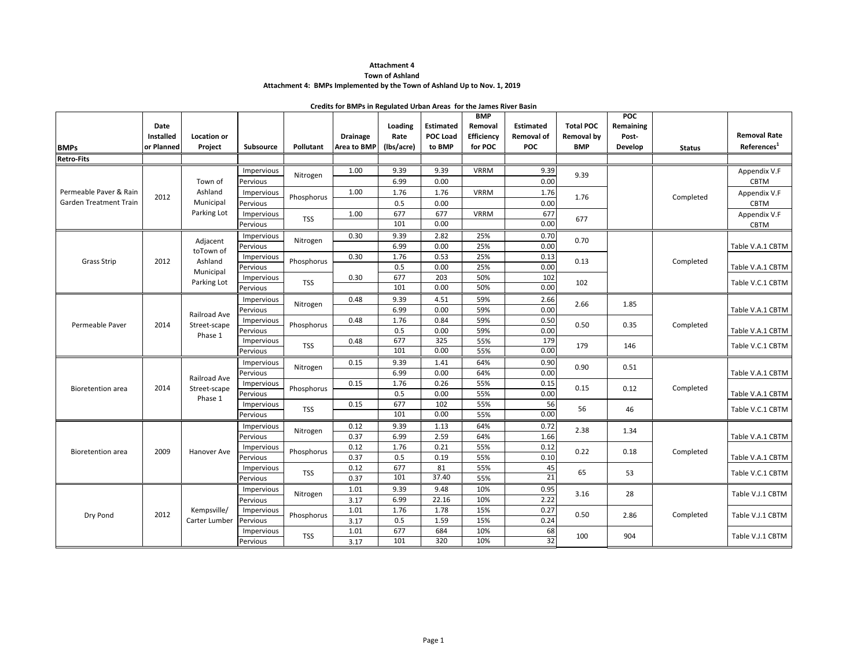#### **Town of Ashland**

#### **Attachment 4: BMPs Implemented by the Town of Ashland Up to Nov. 1, 2019**

|                                                  |                                 |                               |                        |            | Credits for BMPs in Regulated Urban Areas for the James River Basin |                               |                                               |                                                       |                                                     |                                              |                                             |               |                                                |
|--------------------------------------------------|---------------------------------|-------------------------------|------------------------|------------|---------------------------------------------------------------------|-------------------------------|-----------------------------------------------|-------------------------------------------------------|-----------------------------------------------------|----------------------------------------------|---------------------------------------------|---------------|------------------------------------------------|
| <b>BMPs</b>                                      | Date<br>Installed<br>or Planned | <b>Location or</b><br>Project | Subsource              | Pollutant  | <b>Drainage</b><br>Area to BMP                                      | Loading<br>Rate<br>(Ibs/acre) | <b>Estimated</b><br><b>POC Load</b><br>to BMP | <b>BMP</b><br>Removal<br><b>Efficiency</b><br>for POC | <b>Estimated</b><br><b>Removal of</b><br><b>POC</b> | <b>Total POC</b><br>Removal by<br><b>BMP</b> | <b>POC</b><br>Remaining<br>Post-<br>Develop | <b>Status</b> | <b>Removal Rate</b><br>References <sup>1</sup> |
| <b>Retro-Fits</b>                                |                                 |                               |                        |            |                                                                     |                               |                                               |                                                       |                                                     |                                              |                                             |               |                                                |
|                                                  |                                 | Town of                       | Impervious<br>Pervious | Nitrogen   | 1.00                                                                | 9.39<br>6.99                  | 9.39<br>0.00                                  | <b>VRRM</b>                                           | 9.39<br>0.00                                        | 9.39                                         |                                             |               | Appendix V.F<br><b>CBTM</b>                    |
| Permeable Paver & Rain<br>Garden Treatment Train | 2012                            | Ashland<br>Municipal          | Impervious<br>Pervious | Phosphorus | 1.00                                                                | 1.76<br>0.5                   | 1.76<br>0.00                                  | <b>VRRM</b>                                           | 1.76<br>0.00                                        | 1.76                                         |                                             | Completed     | Appendix V.F<br><b>CBTM</b>                    |
|                                                  |                                 | Parking Lot                   | Impervious<br>Pervious | <b>TSS</b> | 1.00                                                                | 677<br>101                    | 677<br>0.00                                   | <b>VRRM</b>                                           | 677<br>0.00                                         | 677                                          |                                             |               | Appendix V.F<br>CBTM                           |
|                                                  |                                 | Adjacent<br>toTown of         | Impervious<br>Pervious | Nitrogen   | 0.30                                                                | 9.39<br>6.99                  | 2.82<br>0.00                                  | 25%<br>25%                                            | 0.70<br>0.00                                        | 0.70                                         |                                             |               | Table V.A.1 CBTM                               |
| <b>Grass Strip</b>                               | 2012                            | Ashland<br>Municipal          | Impervious<br>Pervious | Phosphorus | 0.30                                                                | 1.76<br>0.5                   | 0.53<br>0.00                                  | 25%<br>25%                                            | 0.13<br>0.00                                        | 0.13                                         |                                             | Completed     | Table V.A.1 CBTM                               |
|                                                  |                                 | Parking Lot                   | Impervious<br>Pervious | <b>TSS</b> | 0.30                                                                | 677<br>101                    | 203<br>0.00                                   | 50%<br>50%                                            | 102<br>0.00                                         | 102                                          |                                             |               | Table V.C.1 CBTM                               |
|                                                  |                                 | Railroad Ave                  | Impervious<br>Pervious | Nitrogen   | 0.48                                                                | 9.39<br>6.99                  | 4.51<br>0.00                                  | 59%<br>59%                                            | 2.66<br>0.00                                        | 2.66                                         | 1.85                                        |               | Table V.A.1 CBTM                               |
| Permeable Paver                                  | 2014                            | Street-scape<br>Phase 1       | Impervious<br>Pervious | Phosphorus | 0.48                                                                | 1.76<br>0.5                   | 0.84<br>0.00                                  | 59%<br>59%                                            | 0.50<br>0.00                                        | 0.50                                         | 0.35                                        | Completed     | Table V.A.1 CBTM                               |
|                                                  |                                 |                               | Impervious<br>Pervious | <b>TSS</b> | 0.48                                                                | 677<br>101                    | 325<br>0.00                                   | 55%<br>55%                                            | 179<br>0.00                                         | 179                                          | 146                                         |               | Table V.C.1 CBTM                               |
|                                                  |                                 | Railroad Ave                  | Impervious<br>Pervious | Nitrogen   | 0.15                                                                | 9.39<br>6.99                  | 1.41<br>0.00                                  | 64%<br>64%                                            | 0.90<br>0.00                                        | 0.90                                         | 0.51                                        |               | Table V.A.1 CBTM                               |
| <b>Bioretention</b> area                         | 2014                            | Street-scape<br>Phase 1       | Impervious<br>Pervious | Phosphorus | 0.15                                                                | 1.76<br>0.5                   | 0.26<br>0.00                                  | 55%<br>55%                                            | 0.15<br>0.00                                        | 0.15                                         | 0.12                                        | Completed     | Table V.A.1 CBTM                               |
|                                                  |                                 |                               | Impervious<br>Pervious | <b>TSS</b> | 0.15                                                                | 677<br>101                    | 102<br>0.00                                   | 55%<br>55%                                            | 56<br>0.00                                          | 56                                           | 46                                          |               | Table V.C.1 CBTM                               |
|                                                  |                                 |                               | Impervious<br>Pervious | Nitrogen   | 0.12<br>0.37                                                        | 9.39<br>6.99                  | 1.13<br>2.59                                  | 64%<br>64%                                            | 0.72<br>1.66                                        | 2.38                                         | 1.34                                        |               | Table V.A.1 CBTM                               |
| <b>Bioretention</b> area                         | 2009                            | Hanover Ave                   | Impervious<br>Pervious | Phosphorus | 0.12<br>0.37                                                        | 1.76<br>0.5                   | 0.21<br>0.19                                  | 55%<br>55%                                            | 0.12<br>0.10                                        | 0.22                                         | 0.18                                        | Completed     | Table V.A.1 CBTM                               |
|                                                  |                                 |                               | Impervious<br>Pervious | <b>TSS</b> | 0.12<br>0.37                                                        | 677<br>101                    | 81<br>37.40                                   | 55%<br>55%                                            | 45<br>$\overline{21}$                               | 65                                           | 53                                          |               | Table V.C.1 CBTM                               |
|                                                  |                                 |                               | Impervious<br>Pervious | Nitrogen   | 1.01<br>3.17                                                        | 9.39<br>6.99                  | 9.48<br>22.16                                 | 10%<br>10%                                            | 0.95<br>2.22                                        | 3.16                                         | 28                                          |               | Table V.J.1 CBTM                               |
| Dry Pond                                         | 2012                            | Kempsville/<br>Carter Lumber  | Impervious<br>Pervious | Phosphorus | 1.01<br>3.17                                                        | 1.76<br>0.5                   | 1.78<br>1.59                                  | 15%<br>15%                                            | 0.27<br>0.24                                        | 0.50                                         | 2.86                                        | Completed     | Table V.J.1 CBTM                               |
|                                                  |                                 |                               | Impervious<br>Pervious | <b>TSS</b> | 1.01<br>3.17                                                        | 677<br>101                    | 684<br>320                                    | 10%<br>10%                                            | 68<br>32                                            | 100                                          | 904                                         |               | Table V.J.1 CBTM                               |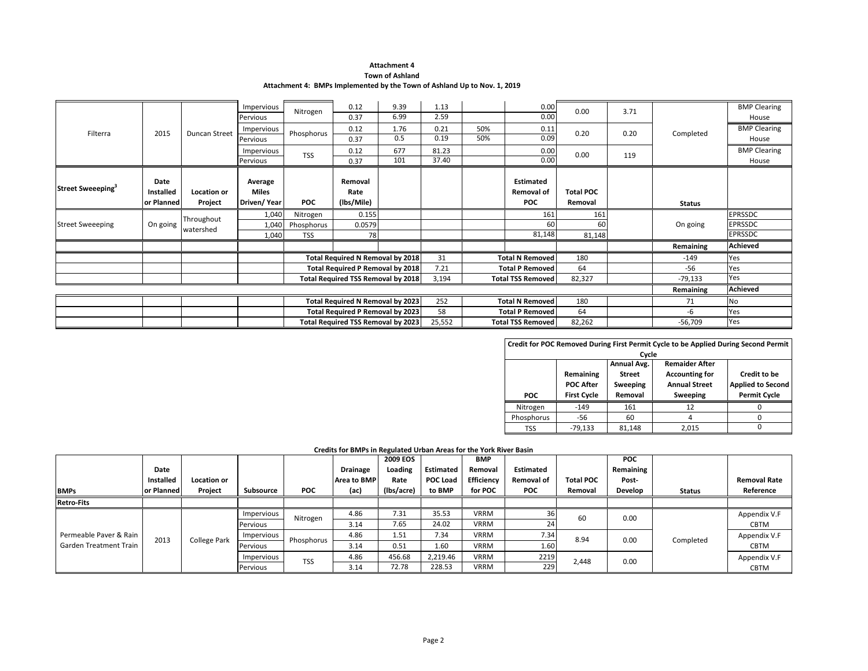#### **Attachment 4 Town of Ashland**

#### **Attachment 4: BMPs Implemented by the Town of Ashland Up to Nov. 1, 2019**

|                               |            |               | Impervious   | Nitrogen   | 0.12                                      | 9.39 | 1.13   |     | 0.00                     | 0.00             | 3.71 |               | <b>BMP Clearing</b> |
|-------------------------------|------------|---------------|--------------|------------|-------------------------------------------|------|--------|-----|--------------------------|------------------|------|---------------|---------------------|
|                               |            |               | Pervious     |            | 0.37                                      | 6.99 | 2.59   |     | 0.00                     |                  |      |               | House               |
| Filterra                      | 2015       | Duncan Street | Impervious   | Phosphorus | 0.12                                      | 1.76 | 0.21   | 50% | 0.11                     | 0.20             | 0.20 | Completed     | <b>BMP Clearing</b> |
|                               |            |               | Pervious     |            | 0.37                                      | 0.5  | 0.19   | 50% | 0.09                     |                  |      |               | House               |
|                               |            |               | Impervious   | <b>TSS</b> | 0.12                                      | 677  | 81.23  |     | 0.00                     | 0.00             | 119  |               | <b>BMP Clearing</b> |
|                               |            |               | Pervious     |            | 0.37                                      | 101  | 37.40  |     | 0.00                     |                  |      |               | House               |
|                               |            |               |              |            |                                           |      |        |     |                          |                  |      |               |                     |
| Street Sweeeping <sup>3</sup> | Date       |               | Average      |            | Removal                                   |      |        |     | <b>Estimated</b>         |                  |      |               |                     |
|                               | Installed  | Location or   | <b>Miles</b> |            | Rate                                      |      |        |     | <b>Removal of</b>        | <b>Total POC</b> |      |               |                     |
|                               | or Planned | Project       | Driven/Year  | <b>POC</b> | (lbs/Mile)                                |      |        |     | <b>POC</b>               | Removal          |      | <b>Status</b> |                     |
|                               |            | Throughout    | 1,040        | Nitrogen   | 0.155                                     |      |        |     | 161                      | 161              |      |               | <b>EPRSSDC</b>      |
| <b>Street Sweeeping</b>       | On going   | watershed     | 1,040        | Phosphorus | 0.0579                                    |      |        |     | 60                       | 60               |      | On going      | <b>EPRSSDC</b>      |
|                               |            |               | 1,040        | <b>TSS</b> | 78                                        |      |        |     | 81,148                   | 81,148           |      |               | <b>EPRSSDC</b>      |
|                               |            |               |              |            |                                           |      |        |     |                          |                  |      | Remaining     | <b>Achieved</b>     |
|                               |            |               |              |            | Total Required N Removal by 2018          |      | 31     |     | <b>Total N Removed</b>   | 180              |      | -149          | Yes                 |
|                               |            |               |              |            | Total Required P Removal by 2018          |      | 7.21   |     | <b>Total P Removed</b>   | 64               |      | $-56$         | Yes                 |
|                               |            |               |              |            | <b>Total Required TSS Removal by 2018</b> |      | 3,194  |     | <b>Total TSS Removed</b> | 82,327           |      | $-79,133$     | Yes                 |
|                               |            |               |              |            |                                           |      |        |     |                          |                  |      | Remaining     | <b>Achieved</b>     |
|                               |            |               |              |            | Total Required N Removal by 2023          |      | 252    |     | <b>Total N Removed</b>   | 180              |      | 71            | No                  |
|                               |            |               |              |            | Total Required P Removal by 2023          |      | 58     |     | <b>Total P Removed</b>   | 64               |      | -6            | Yes                 |
|                               |            |               |              |            | Total Required TSS Removal by 2023        |      | 25,552 |     | <b>Total TSS Removed</b> | 82,262           |      | $-56,709$     | Yes                 |

|                                      |                    |                                                                     | Credit for POC Removed During First Permit Cycle to be Applied During Second Permit |                     |  |  |  |  |  |  |  |  |
|--------------------------------------|--------------------|---------------------------------------------------------------------|-------------------------------------------------------------------------------------|---------------------|--|--|--|--|--|--|--|--|
| Cycle                                |                    |                                                                     |                                                                                     |                     |  |  |  |  |  |  |  |  |
| Annual Avg.<br><b>Remaider After</b> |                    |                                                                     |                                                                                     |                     |  |  |  |  |  |  |  |  |
|                                      | Remaining          | <b>Street</b>                                                       | <b>Accounting for</b>                                                               | Credit to be        |  |  |  |  |  |  |  |  |
|                                      | <b>POC After</b>   | <b>Annual Street</b><br><b>Applied to Second</b><br><b>Sweeping</b> |                                                                                     |                     |  |  |  |  |  |  |  |  |
| <b>POC</b>                           | <b>First Cycle</b> | Removal                                                             | Sweeping                                                                            | <b>Permit Cycle</b> |  |  |  |  |  |  |  |  |
| Nitrogen                             | $-149$             | 161                                                                 | 12                                                                                  |                     |  |  |  |  |  |  |  |  |
| Phosphorus                           | -56                | 60                                                                  |                                                                                     | ი                   |  |  |  |  |  |  |  |  |
| TSS                                  | $-79.133$          | 81.148                                                              | 2,015                                                                               |                     |  |  |  |  |  |  |  |  |

#### **Credits for BMPs in Regulated Urban Areas for the York River Basin**

|                        | Date<br>Installed<br>lor Planned | <b>Location or</b><br>Project | Subsource  | POC        | <b>Drainage</b><br>Area to BMP<br>(ac) | <b>2009 EOS</b><br>Loading<br>Rate<br>(Ibs/acre) | Estimated<br><b>POC Load</b><br>to BMP | BMP<br>Removal<br>Efficiency<br>for POC | <b>Estimated</b><br><b>Removal of</b><br><b>POC</b> | <b>Total POC</b><br>Removal | <b>POC</b><br>Remaining<br>Post-<br>Develop |               | <b>Removal Rate</b><br>Reference |
|------------------------|----------------------------------|-------------------------------|------------|------------|----------------------------------------|--------------------------------------------------|----------------------------------------|-----------------------------------------|-----------------------------------------------------|-----------------------------|---------------------------------------------|---------------|----------------------------------|
| <b>BMPs</b>            |                                  |                               |            |            |                                        |                                                  |                                        |                                         |                                                     |                             |                                             | <b>Status</b> |                                  |
| <b>Retro-Fits</b>      |                                  |                               |            |            |                                        |                                                  |                                        |                                         |                                                     |                             |                                             |               |                                  |
|                        |                                  |                               | Impervious | Nitrogen   | 4.86                                   | 7.31                                             | 35.53                                  | <b>VRRM</b>                             | <b>36</b>                                           | 60                          | 0.00                                        |               | Appendix V.F                     |
|                        |                                  |                               | Pervious   |            | 3.14                                   | 7.65                                             | 24.02                                  | <b>VRRM</b>                             | 24                                                  |                             |                                             |               | CBTM                             |
| Permeable Paver & Rain | 2013                             | <b>College Park</b>           | Impervious | Phosphorus | 4.86                                   | 1.51                                             | 7.34                                   | VRRM                                    | 7.34                                                | 8.94                        | 0.00                                        | Completed     | Appendix V.F                     |
| Garden Treatment Train |                                  |                               | Pervious   |            | 3.14                                   | 0.51                                             | 1.60                                   | <b>VRRM</b>                             | 1.60                                                |                             |                                             |               | <b>CBTM</b>                      |
|                        |                                  |                               | Impervious | <b>TSS</b> | 4.86                                   | 456.68                                           | 2,219.46                               | <b>VRRM</b>                             | 2219                                                | 2,448                       | 0.00                                        |               | Appendix V.F                     |
|                        |                                  |                               | Pervious   |            | 3.14                                   | 72.78                                            | 228.53                                 | <b>VRRM</b>                             | 229                                                 |                             |                                             |               | <b>CBTM</b>                      |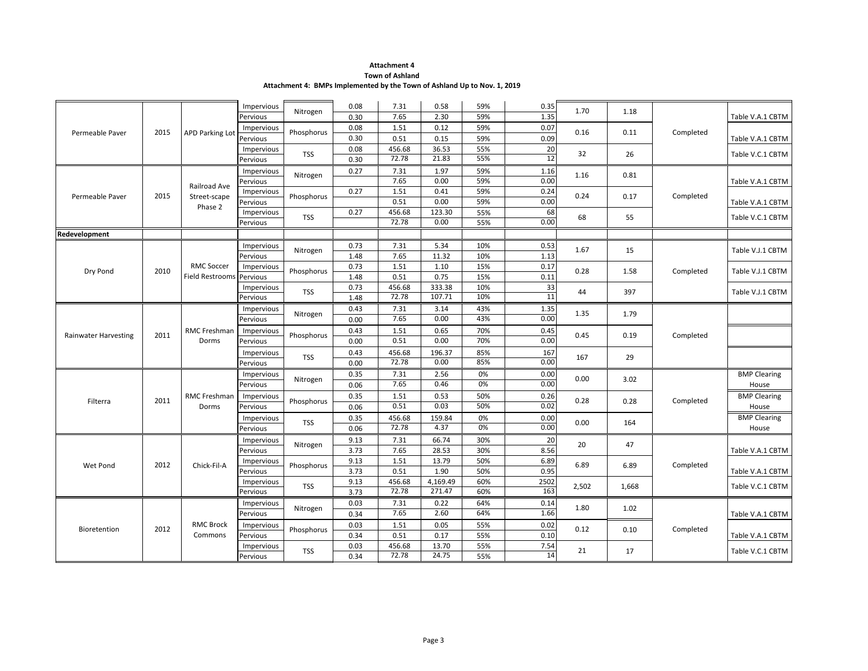### **Town of Ashland**

**Attachment 4: BMPs Implemented by the Town of Ashland Up to Nov. 1, 2019**

| 1.35<br>7.65<br>2.30<br>59%<br>Pervious<br>0.30<br>Table V.A.1 CBTM<br>0.12<br>59%<br>0.08<br>1.51<br>0.07<br>Impervious<br>0.16<br>2015<br><b>APD Parking Lot</b><br>Phosphorus<br>0.11<br>Completed<br>Permeable Paver<br>0.09<br>0.30<br>0.51<br>0.15<br>59%<br>Pervious<br>Table V.A.1 CBTM<br>456.68<br>55%<br>20<br>0.08<br>36.53<br>Impervious<br>32<br><b>TSS</b><br>26<br>Table V.C.1 CBTM<br>12<br>55%<br>72.78<br>21.83<br>0.30<br>Pervious<br>7.31<br>1.97<br>59%<br>1.16<br>0.27<br>Impervious<br>1.16<br>0.81<br>Nitrogen<br>0.00<br>7.65<br>0.00<br>59%<br>Pervious<br>Table V.A.1 CBTM<br>Railroad Ave<br>1.51<br>59%<br>0.27<br>0.41<br>0.24<br>Impervious<br>0.24<br>2015<br>Phosphorus<br>Completed<br>Permeable Paver<br>0.17<br>Street-scape<br>0.51<br>0.00<br>59%<br>0.00<br>Pervious<br>Table V.A.1 CBTM<br>Phase 2<br>55%<br>456.68<br>123.30<br>68<br>0.27<br>Impervious<br>68<br><b>TSS</b><br>55<br>Table V.C.1 CBTM<br>72.78<br>0.00<br>0.00<br>55%<br>Pervious<br>Redevelopment<br>5.34<br>0.73<br>7.31<br>10%<br>0.53<br>Impervious<br>Nitrogen<br>1.67<br>15<br>Table V.J.1 CBTM<br>7.65<br>11.32<br>10%<br>1.13<br>1.48<br>Pervious<br><b>RMC Soccer</b><br>0.73<br>15%<br>1.51<br>1.10<br>0.17<br>Impervious<br>2010<br>0.28<br>Phosphorus<br>Completed<br>Dry Pond<br>1.58<br>Table V.J.1 CBTM<br>15%<br>Pervious<br>0.51<br>0.75<br>0.11<br>Field Restrooms<br>1.48<br>456.68<br>33<br>0.73<br>333.38<br>10%<br>Impervious<br>44<br>397<br><b>TSS</b><br>Table V.J.1 CBTM<br>11<br>72.78<br>107.71<br>10%<br>1.48<br>Pervious<br>1.35<br>7.31<br>3.14<br>43%<br>0.43<br>Impervious<br>Nitrogen<br>1.35<br>1.79<br>43%<br>7.65<br>0.00<br>0.00<br>0.00<br>Pervious<br>RMC Freshman<br>1.51<br>0.65<br>70%<br>0.43<br>0.45<br>Impervious<br>0.45<br>2011<br>Phosphorus<br>0.19<br>Completed<br><b>Rainwater Harvesting</b><br>70%<br>0.51<br>0.00<br>0.00<br>Dorms<br>Pervious<br>0.00<br>456.68<br>196.37<br>85%<br>0.43<br>167<br>Impervious<br><b>TSS</b><br>167<br>29<br>72.78<br>0.00<br>85%<br>0.00<br>0.00<br>Pervious<br>0.35<br>7.31<br>2.56<br>0%<br>0.00<br><b>BMP Clearing</b><br>Impervious<br>0.00<br>3.02<br>Nitrogen<br>7.65<br>0%<br>0.00<br>0.46<br>Pervious<br>0.06<br>House<br><b>BMP Clearing</b><br><b>RMC Freshman</b><br>0.35<br>1.51<br>0.53<br>50%<br>0.26<br>Impervious<br>0.28<br>2011<br>0.28<br>Completed<br>Filterra<br>Phosphorus<br>0.03<br>50%<br>0.51<br>0.02<br>Pervious<br>0.06<br>Dorms<br>House<br>0.35<br>456.68<br>159.84<br>0%<br>0.00<br><b>BMP Clearing</b><br>Impervious<br>0.00<br><b>TSS</b><br>164<br>72.78<br>0.00<br>4.37<br>0%<br>0.06<br>Pervious<br>House<br>66.74<br>9.13<br>7.31<br>30%<br>20<br>Impervious<br>20<br>Nitrogen<br>47<br>8.56<br>3.73<br>7.65<br>28.53<br>30%<br>Pervious<br>Table V.A.1 CBTM<br>6.89<br>9.13<br>1.51<br>13.79<br>50%<br>Impervious<br>6.89<br>2012<br>Chick-Fil-A<br>Completed<br>Wet Pond<br>Phosphorus<br>6.89<br>1.90<br>0.95<br>3.73<br>0.51<br>50%<br>Pervious<br>Table V.A.1 CBTM<br>9.13<br>456.68<br>4,169.49<br>60%<br>2502<br>Impervious<br>2,502<br><b>TSS</b><br>1,668<br>Table V.C.1 CBTM<br>72.78<br>271.47<br>163<br>3.73<br>60%<br>Pervious<br>0.03<br>0.22<br>64%<br>7.31<br>0.14<br>Impervious<br>1.80<br>Nitrogen<br>1.02 |  |  | Impervious | Nitrogen | 0.08 | 7.31 | 0.58 | 59% | 0.35 | 1.70 | 1.18 |                  |  |  |  |  |
|----------------------------------------------------------------------------------------------------------------------------------------------------------------------------------------------------------------------------------------------------------------------------------------------------------------------------------------------------------------------------------------------------------------------------------------------------------------------------------------------------------------------------------------------------------------------------------------------------------------------------------------------------------------------------------------------------------------------------------------------------------------------------------------------------------------------------------------------------------------------------------------------------------------------------------------------------------------------------------------------------------------------------------------------------------------------------------------------------------------------------------------------------------------------------------------------------------------------------------------------------------------------------------------------------------------------------------------------------------------------------------------------------------------------------------------------------------------------------------------------------------------------------------------------------------------------------------------------------------------------------------------------------------------------------------------------------------------------------------------------------------------------------------------------------------------------------------------------------------------------------------------------------------------------------------------------------------------------------------------------------------------------------------------------------------------------------------------------------------------------------------------------------------------------------------------------------------------------------------------------------------------------------------------------------------------------------------------------------------------------------------------------------------------------------------------------------------------------------------------------------------------------------------------------------------------------------------------------------------------------------------------------------------------------------------------------------------------------------------------------------------------------------------------------------------------------------------------------------------------------------------------------------------------------------------------------------------------------------------------------------------------------------------------------------------------------------------------------------------------------------------------------------------------------------------------------------------------------------------------------------------------------|--|--|------------|----------|------|------|------|-----|------|------|------|------------------|--|--|--|--|
|                                                                                                                                                                                                                                                                                                                                                                                                                                                                                                                                                                                                                                                                                                                                                                                                                                                                                                                                                                                                                                                                                                                                                                                                                                                                                                                                                                                                                                                                                                                                                                                                                                                                                                                                                                                                                                                                                                                                                                                                                                                                                                                                                                                                                                                                                                                                                                                                                                                                                                                                                                                                                                                                                                                                                                                                                                                                                                                                                                                                                                                                                                                                                                                                                                                                      |  |  |            |          |      |      |      |     |      |      |      |                  |  |  |  |  |
|                                                                                                                                                                                                                                                                                                                                                                                                                                                                                                                                                                                                                                                                                                                                                                                                                                                                                                                                                                                                                                                                                                                                                                                                                                                                                                                                                                                                                                                                                                                                                                                                                                                                                                                                                                                                                                                                                                                                                                                                                                                                                                                                                                                                                                                                                                                                                                                                                                                                                                                                                                                                                                                                                                                                                                                                                                                                                                                                                                                                                                                                                                                                                                                                                                                                      |  |  |            |          |      |      |      |     |      |      |      |                  |  |  |  |  |
|                                                                                                                                                                                                                                                                                                                                                                                                                                                                                                                                                                                                                                                                                                                                                                                                                                                                                                                                                                                                                                                                                                                                                                                                                                                                                                                                                                                                                                                                                                                                                                                                                                                                                                                                                                                                                                                                                                                                                                                                                                                                                                                                                                                                                                                                                                                                                                                                                                                                                                                                                                                                                                                                                                                                                                                                                                                                                                                                                                                                                                                                                                                                                                                                                                                                      |  |  |            |          |      |      |      |     |      |      |      |                  |  |  |  |  |
|                                                                                                                                                                                                                                                                                                                                                                                                                                                                                                                                                                                                                                                                                                                                                                                                                                                                                                                                                                                                                                                                                                                                                                                                                                                                                                                                                                                                                                                                                                                                                                                                                                                                                                                                                                                                                                                                                                                                                                                                                                                                                                                                                                                                                                                                                                                                                                                                                                                                                                                                                                                                                                                                                                                                                                                                                                                                                                                                                                                                                                                                                                                                                                                                                                                                      |  |  |            |          |      |      |      |     |      |      |      |                  |  |  |  |  |
|                                                                                                                                                                                                                                                                                                                                                                                                                                                                                                                                                                                                                                                                                                                                                                                                                                                                                                                                                                                                                                                                                                                                                                                                                                                                                                                                                                                                                                                                                                                                                                                                                                                                                                                                                                                                                                                                                                                                                                                                                                                                                                                                                                                                                                                                                                                                                                                                                                                                                                                                                                                                                                                                                                                                                                                                                                                                                                                                                                                                                                                                                                                                                                                                                                                                      |  |  |            |          |      |      |      |     |      |      |      |                  |  |  |  |  |
|                                                                                                                                                                                                                                                                                                                                                                                                                                                                                                                                                                                                                                                                                                                                                                                                                                                                                                                                                                                                                                                                                                                                                                                                                                                                                                                                                                                                                                                                                                                                                                                                                                                                                                                                                                                                                                                                                                                                                                                                                                                                                                                                                                                                                                                                                                                                                                                                                                                                                                                                                                                                                                                                                                                                                                                                                                                                                                                                                                                                                                                                                                                                                                                                                                                                      |  |  |            |          |      |      |      |     |      |      |      |                  |  |  |  |  |
|                                                                                                                                                                                                                                                                                                                                                                                                                                                                                                                                                                                                                                                                                                                                                                                                                                                                                                                                                                                                                                                                                                                                                                                                                                                                                                                                                                                                                                                                                                                                                                                                                                                                                                                                                                                                                                                                                                                                                                                                                                                                                                                                                                                                                                                                                                                                                                                                                                                                                                                                                                                                                                                                                                                                                                                                                                                                                                                                                                                                                                                                                                                                                                                                                                                                      |  |  |            |          |      |      |      |     |      |      |      |                  |  |  |  |  |
|                                                                                                                                                                                                                                                                                                                                                                                                                                                                                                                                                                                                                                                                                                                                                                                                                                                                                                                                                                                                                                                                                                                                                                                                                                                                                                                                                                                                                                                                                                                                                                                                                                                                                                                                                                                                                                                                                                                                                                                                                                                                                                                                                                                                                                                                                                                                                                                                                                                                                                                                                                                                                                                                                                                                                                                                                                                                                                                                                                                                                                                                                                                                                                                                                                                                      |  |  |            |          |      |      |      |     |      |      |      |                  |  |  |  |  |
|                                                                                                                                                                                                                                                                                                                                                                                                                                                                                                                                                                                                                                                                                                                                                                                                                                                                                                                                                                                                                                                                                                                                                                                                                                                                                                                                                                                                                                                                                                                                                                                                                                                                                                                                                                                                                                                                                                                                                                                                                                                                                                                                                                                                                                                                                                                                                                                                                                                                                                                                                                                                                                                                                                                                                                                                                                                                                                                                                                                                                                                                                                                                                                                                                                                                      |  |  |            |          |      |      |      |     |      |      |      |                  |  |  |  |  |
|                                                                                                                                                                                                                                                                                                                                                                                                                                                                                                                                                                                                                                                                                                                                                                                                                                                                                                                                                                                                                                                                                                                                                                                                                                                                                                                                                                                                                                                                                                                                                                                                                                                                                                                                                                                                                                                                                                                                                                                                                                                                                                                                                                                                                                                                                                                                                                                                                                                                                                                                                                                                                                                                                                                                                                                                                                                                                                                                                                                                                                                                                                                                                                                                                                                                      |  |  |            |          |      |      |      |     |      |      |      |                  |  |  |  |  |
|                                                                                                                                                                                                                                                                                                                                                                                                                                                                                                                                                                                                                                                                                                                                                                                                                                                                                                                                                                                                                                                                                                                                                                                                                                                                                                                                                                                                                                                                                                                                                                                                                                                                                                                                                                                                                                                                                                                                                                                                                                                                                                                                                                                                                                                                                                                                                                                                                                                                                                                                                                                                                                                                                                                                                                                                                                                                                                                                                                                                                                                                                                                                                                                                                                                                      |  |  |            |          |      |      |      |     |      |      |      |                  |  |  |  |  |
|                                                                                                                                                                                                                                                                                                                                                                                                                                                                                                                                                                                                                                                                                                                                                                                                                                                                                                                                                                                                                                                                                                                                                                                                                                                                                                                                                                                                                                                                                                                                                                                                                                                                                                                                                                                                                                                                                                                                                                                                                                                                                                                                                                                                                                                                                                                                                                                                                                                                                                                                                                                                                                                                                                                                                                                                                                                                                                                                                                                                                                                                                                                                                                                                                                                                      |  |  |            |          |      |      |      |     |      |      |      |                  |  |  |  |  |
|                                                                                                                                                                                                                                                                                                                                                                                                                                                                                                                                                                                                                                                                                                                                                                                                                                                                                                                                                                                                                                                                                                                                                                                                                                                                                                                                                                                                                                                                                                                                                                                                                                                                                                                                                                                                                                                                                                                                                                                                                                                                                                                                                                                                                                                                                                                                                                                                                                                                                                                                                                                                                                                                                                                                                                                                                                                                                                                                                                                                                                                                                                                                                                                                                                                                      |  |  |            |          |      |      |      |     |      |      |      |                  |  |  |  |  |
|                                                                                                                                                                                                                                                                                                                                                                                                                                                                                                                                                                                                                                                                                                                                                                                                                                                                                                                                                                                                                                                                                                                                                                                                                                                                                                                                                                                                                                                                                                                                                                                                                                                                                                                                                                                                                                                                                                                                                                                                                                                                                                                                                                                                                                                                                                                                                                                                                                                                                                                                                                                                                                                                                                                                                                                                                                                                                                                                                                                                                                                                                                                                                                                                                                                                      |  |  |            |          |      |      |      |     |      |      |      |                  |  |  |  |  |
|                                                                                                                                                                                                                                                                                                                                                                                                                                                                                                                                                                                                                                                                                                                                                                                                                                                                                                                                                                                                                                                                                                                                                                                                                                                                                                                                                                                                                                                                                                                                                                                                                                                                                                                                                                                                                                                                                                                                                                                                                                                                                                                                                                                                                                                                                                                                                                                                                                                                                                                                                                                                                                                                                                                                                                                                                                                                                                                                                                                                                                                                                                                                                                                                                                                                      |  |  |            |          |      |      |      |     |      |      |      |                  |  |  |  |  |
|                                                                                                                                                                                                                                                                                                                                                                                                                                                                                                                                                                                                                                                                                                                                                                                                                                                                                                                                                                                                                                                                                                                                                                                                                                                                                                                                                                                                                                                                                                                                                                                                                                                                                                                                                                                                                                                                                                                                                                                                                                                                                                                                                                                                                                                                                                                                                                                                                                                                                                                                                                                                                                                                                                                                                                                                                                                                                                                                                                                                                                                                                                                                                                                                                                                                      |  |  |            |          |      |      |      |     |      |      |      |                  |  |  |  |  |
|                                                                                                                                                                                                                                                                                                                                                                                                                                                                                                                                                                                                                                                                                                                                                                                                                                                                                                                                                                                                                                                                                                                                                                                                                                                                                                                                                                                                                                                                                                                                                                                                                                                                                                                                                                                                                                                                                                                                                                                                                                                                                                                                                                                                                                                                                                                                                                                                                                                                                                                                                                                                                                                                                                                                                                                                                                                                                                                                                                                                                                                                                                                                                                                                                                                                      |  |  |            |          |      |      |      |     |      |      |      |                  |  |  |  |  |
|                                                                                                                                                                                                                                                                                                                                                                                                                                                                                                                                                                                                                                                                                                                                                                                                                                                                                                                                                                                                                                                                                                                                                                                                                                                                                                                                                                                                                                                                                                                                                                                                                                                                                                                                                                                                                                                                                                                                                                                                                                                                                                                                                                                                                                                                                                                                                                                                                                                                                                                                                                                                                                                                                                                                                                                                                                                                                                                                                                                                                                                                                                                                                                                                                                                                      |  |  |            |          |      |      |      |     |      |      |      |                  |  |  |  |  |
|                                                                                                                                                                                                                                                                                                                                                                                                                                                                                                                                                                                                                                                                                                                                                                                                                                                                                                                                                                                                                                                                                                                                                                                                                                                                                                                                                                                                                                                                                                                                                                                                                                                                                                                                                                                                                                                                                                                                                                                                                                                                                                                                                                                                                                                                                                                                                                                                                                                                                                                                                                                                                                                                                                                                                                                                                                                                                                                                                                                                                                                                                                                                                                                                                                                                      |  |  |            |          |      |      |      |     |      |      |      |                  |  |  |  |  |
|                                                                                                                                                                                                                                                                                                                                                                                                                                                                                                                                                                                                                                                                                                                                                                                                                                                                                                                                                                                                                                                                                                                                                                                                                                                                                                                                                                                                                                                                                                                                                                                                                                                                                                                                                                                                                                                                                                                                                                                                                                                                                                                                                                                                                                                                                                                                                                                                                                                                                                                                                                                                                                                                                                                                                                                                                                                                                                                                                                                                                                                                                                                                                                                                                                                                      |  |  |            |          |      |      |      |     |      |      |      |                  |  |  |  |  |
|                                                                                                                                                                                                                                                                                                                                                                                                                                                                                                                                                                                                                                                                                                                                                                                                                                                                                                                                                                                                                                                                                                                                                                                                                                                                                                                                                                                                                                                                                                                                                                                                                                                                                                                                                                                                                                                                                                                                                                                                                                                                                                                                                                                                                                                                                                                                                                                                                                                                                                                                                                                                                                                                                                                                                                                                                                                                                                                                                                                                                                                                                                                                                                                                                                                                      |  |  |            |          |      |      |      |     |      |      |      |                  |  |  |  |  |
|                                                                                                                                                                                                                                                                                                                                                                                                                                                                                                                                                                                                                                                                                                                                                                                                                                                                                                                                                                                                                                                                                                                                                                                                                                                                                                                                                                                                                                                                                                                                                                                                                                                                                                                                                                                                                                                                                                                                                                                                                                                                                                                                                                                                                                                                                                                                                                                                                                                                                                                                                                                                                                                                                                                                                                                                                                                                                                                                                                                                                                                                                                                                                                                                                                                                      |  |  |            |          |      |      |      |     |      |      |      |                  |  |  |  |  |
|                                                                                                                                                                                                                                                                                                                                                                                                                                                                                                                                                                                                                                                                                                                                                                                                                                                                                                                                                                                                                                                                                                                                                                                                                                                                                                                                                                                                                                                                                                                                                                                                                                                                                                                                                                                                                                                                                                                                                                                                                                                                                                                                                                                                                                                                                                                                                                                                                                                                                                                                                                                                                                                                                                                                                                                                                                                                                                                                                                                                                                                                                                                                                                                                                                                                      |  |  |            |          |      |      |      |     |      |      |      |                  |  |  |  |  |
|                                                                                                                                                                                                                                                                                                                                                                                                                                                                                                                                                                                                                                                                                                                                                                                                                                                                                                                                                                                                                                                                                                                                                                                                                                                                                                                                                                                                                                                                                                                                                                                                                                                                                                                                                                                                                                                                                                                                                                                                                                                                                                                                                                                                                                                                                                                                                                                                                                                                                                                                                                                                                                                                                                                                                                                                                                                                                                                                                                                                                                                                                                                                                                                                                                                                      |  |  |            |          |      |      |      |     |      |      |      |                  |  |  |  |  |
|                                                                                                                                                                                                                                                                                                                                                                                                                                                                                                                                                                                                                                                                                                                                                                                                                                                                                                                                                                                                                                                                                                                                                                                                                                                                                                                                                                                                                                                                                                                                                                                                                                                                                                                                                                                                                                                                                                                                                                                                                                                                                                                                                                                                                                                                                                                                                                                                                                                                                                                                                                                                                                                                                                                                                                                                                                                                                                                                                                                                                                                                                                                                                                                                                                                                      |  |  |            |          |      |      |      |     |      |      |      |                  |  |  |  |  |
|                                                                                                                                                                                                                                                                                                                                                                                                                                                                                                                                                                                                                                                                                                                                                                                                                                                                                                                                                                                                                                                                                                                                                                                                                                                                                                                                                                                                                                                                                                                                                                                                                                                                                                                                                                                                                                                                                                                                                                                                                                                                                                                                                                                                                                                                                                                                                                                                                                                                                                                                                                                                                                                                                                                                                                                                                                                                                                                                                                                                                                                                                                                                                                                                                                                                      |  |  |            |          |      |      |      |     |      |      |      |                  |  |  |  |  |
|                                                                                                                                                                                                                                                                                                                                                                                                                                                                                                                                                                                                                                                                                                                                                                                                                                                                                                                                                                                                                                                                                                                                                                                                                                                                                                                                                                                                                                                                                                                                                                                                                                                                                                                                                                                                                                                                                                                                                                                                                                                                                                                                                                                                                                                                                                                                                                                                                                                                                                                                                                                                                                                                                                                                                                                                                                                                                                                                                                                                                                                                                                                                                                                                                                                                      |  |  |            |          |      |      |      |     |      |      |      |                  |  |  |  |  |
|                                                                                                                                                                                                                                                                                                                                                                                                                                                                                                                                                                                                                                                                                                                                                                                                                                                                                                                                                                                                                                                                                                                                                                                                                                                                                                                                                                                                                                                                                                                                                                                                                                                                                                                                                                                                                                                                                                                                                                                                                                                                                                                                                                                                                                                                                                                                                                                                                                                                                                                                                                                                                                                                                                                                                                                                                                                                                                                                                                                                                                                                                                                                                                                                                                                                      |  |  |            |          |      |      |      |     |      |      |      |                  |  |  |  |  |
|                                                                                                                                                                                                                                                                                                                                                                                                                                                                                                                                                                                                                                                                                                                                                                                                                                                                                                                                                                                                                                                                                                                                                                                                                                                                                                                                                                                                                                                                                                                                                                                                                                                                                                                                                                                                                                                                                                                                                                                                                                                                                                                                                                                                                                                                                                                                                                                                                                                                                                                                                                                                                                                                                                                                                                                                                                                                                                                                                                                                                                                                                                                                                                                                                                                                      |  |  |            |          |      |      |      |     |      |      |      |                  |  |  |  |  |
|                                                                                                                                                                                                                                                                                                                                                                                                                                                                                                                                                                                                                                                                                                                                                                                                                                                                                                                                                                                                                                                                                                                                                                                                                                                                                                                                                                                                                                                                                                                                                                                                                                                                                                                                                                                                                                                                                                                                                                                                                                                                                                                                                                                                                                                                                                                                                                                                                                                                                                                                                                                                                                                                                                                                                                                                                                                                                                                                                                                                                                                                                                                                                                                                                                                                      |  |  |            |          |      |      |      |     |      |      |      |                  |  |  |  |  |
|                                                                                                                                                                                                                                                                                                                                                                                                                                                                                                                                                                                                                                                                                                                                                                                                                                                                                                                                                                                                                                                                                                                                                                                                                                                                                                                                                                                                                                                                                                                                                                                                                                                                                                                                                                                                                                                                                                                                                                                                                                                                                                                                                                                                                                                                                                                                                                                                                                                                                                                                                                                                                                                                                                                                                                                                                                                                                                                                                                                                                                                                                                                                                                                                                                                                      |  |  |            |          |      |      |      |     |      |      |      |                  |  |  |  |  |
|                                                                                                                                                                                                                                                                                                                                                                                                                                                                                                                                                                                                                                                                                                                                                                                                                                                                                                                                                                                                                                                                                                                                                                                                                                                                                                                                                                                                                                                                                                                                                                                                                                                                                                                                                                                                                                                                                                                                                                                                                                                                                                                                                                                                                                                                                                                                                                                                                                                                                                                                                                                                                                                                                                                                                                                                                                                                                                                                                                                                                                                                                                                                                                                                                                                                      |  |  |            |          |      |      |      |     |      |      |      |                  |  |  |  |  |
|                                                                                                                                                                                                                                                                                                                                                                                                                                                                                                                                                                                                                                                                                                                                                                                                                                                                                                                                                                                                                                                                                                                                                                                                                                                                                                                                                                                                                                                                                                                                                                                                                                                                                                                                                                                                                                                                                                                                                                                                                                                                                                                                                                                                                                                                                                                                                                                                                                                                                                                                                                                                                                                                                                                                                                                                                                                                                                                                                                                                                                                                                                                                                                                                                                                                      |  |  |            |          |      |      |      |     |      |      |      |                  |  |  |  |  |
|                                                                                                                                                                                                                                                                                                                                                                                                                                                                                                                                                                                                                                                                                                                                                                                                                                                                                                                                                                                                                                                                                                                                                                                                                                                                                                                                                                                                                                                                                                                                                                                                                                                                                                                                                                                                                                                                                                                                                                                                                                                                                                                                                                                                                                                                                                                                                                                                                                                                                                                                                                                                                                                                                                                                                                                                                                                                                                                                                                                                                                                                                                                                                                                                                                                                      |  |  |            |          |      |      |      |     |      |      |      |                  |  |  |  |  |
|                                                                                                                                                                                                                                                                                                                                                                                                                                                                                                                                                                                                                                                                                                                                                                                                                                                                                                                                                                                                                                                                                                                                                                                                                                                                                                                                                                                                                                                                                                                                                                                                                                                                                                                                                                                                                                                                                                                                                                                                                                                                                                                                                                                                                                                                                                                                                                                                                                                                                                                                                                                                                                                                                                                                                                                                                                                                                                                                                                                                                                                                                                                                                                                                                                                                      |  |  |            |          |      |      |      |     |      |      |      |                  |  |  |  |  |
|                                                                                                                                                                                                                                                                                                                                                                                                                                                                                                                                                                                                                                                                                                                                                                                                                                                                                                                                                                                                                                                                                                                                                                                                                                                                                                                                                                                                                                                                                                                                                                                                                                                                                                                                                                                                                                                                                                                                                                                                                                                                                                                                                                                                                                                                                                                                                                                                                                                                                                                                                                                                                                                                                                                                                                                                                                                                                                                                                                                                                                                                                                                                                                                                                                                                      |  |  |            |          |      |      |      |     |      |      |      |                  |  |  |  |  |
|                                                                                                                                                                                                                                                                                                                                                                                                                                                                                                                                                                                                                                                                                                                                                                                                                                                                                                                                                                                                                                                                                                                                                                                                                                                                                                                                                                                                                                                                                                                                                                                                                                                                                                                                                                                                                                                                                                                                                                                                                                                                                                                                                                                                                                                                                                                                                                                                                                                                                                                                                                                                                                                                                                                                                                                                                                                                                                                                                                                                                                                                                                                                                                                                                                                                      |  |  |            |          |      |      |      |     |      |      |      |                  |  |  |  |  |
|                                                                                                                                                                                                                                                                                                                                                                                                                                                                                                                                                                                                                                                                                                                                                                                                                                                                                                                                                                                                                                                                                                                                                                                                                                                                                                                                                                                                                                                                                                                                                                                                                                                                                                                                                                                                                                                                                                                                                                                                                                                                                                                                                                                                                                                                                                                                                                                                                                                                                                                                                                                                                                                                                                                                                                                                                                                                                                                                                                                                                                                                                                                                                                                                                                                                      |  |  | Pervious   |          | 0.34 | 7.65 | 2.60 | 64% | 1.66 |      |      | Table V.A.1 CBTM |  |  |  |  |
| <b>RMC Brock</b><br>0.03<br>1.51<br>0.05<br>55%<br>0.02<br>Impervious                                                                                                                                                                                                                                                                                                                                                                                                                                                                                                                                                                                                                                                                                                                                                                                                                                                                                                                                                                                                                                                                                                                                                                                                                                                                                                                                                                                                                                                                                                                                                                                                                                                                                                                                                                                                                                                                                                                                                                                                                                                                                                                                                                                                                                                                                                                                                                                                                                                                                                                                                                                                                                                                                                                                                                                                                                                                                                                                                                                                                                                                                                                                                                                                |  |  |            |          |      |      |      |     |      |      |      |                  |  |  |  |  |
| 2012<br>0.12<br>Completed<br>Bioretention<br>Phosphorus<br>0.10<br>0.51<br>0.17<br>55%<br>0.10<br>Commons<br>Pervious<br>0.34<br>Table V.A.1 CBTM                                                                                                                                                                                                                                                                                                                                                                                                                                                                                                                                                                                                                                                                                                                                                                                                                                                                                                                                                                                                                                                                                                                                                                                                                                                                                                                                                                                                                                                                                                                                                                                                                                                                                                                                                                                                                                                                                                                                                                                                                                                                                                                                                                                                                                                                                                                                                                                                                                                                                                                                                                                                                                                                                                                                                                                                                                                                                                                                                                                                                                                                                                                    |  |  |            |          |      |      |      |     |      |      |      |                  |  |  |  |  |
| 7.54<br>0.03<br>456.68<br>13.70<br>55%<br>Impervious                                                                                                                                                                                                                                                                                                                                                                                                                                                                                                                                                                                                                                                                                                                                                                                                                                                                                                                                                                                                                                                                                                                                                                                                                                                                                                                                                                                                                                                                                                                                                                                                                                                                                                                                                                                                                                                                                                                                                                                                                                                                                                                                                                                                                                                                                                                                                                                                                                                                                                                                                                                                                                                                                                                                                                                                                                                                                                                                                                                                                                                                                                                                                                                                                 |  |  |            |          |      |      |      |     |      |      |      |                  |  |  |  |  |
| 21<br><b>TSS</b><br>17<br>Table V.C.1 CBTM<br>72.78<br>24.75<br>14<br>0.34<br>55%<br>Pervious                                                                                                                                                                                                                                                                                                                                                                                                                                                                                                                                                                                                                                                                                                                                                                                                                                                                                                                                                                                                                                                                                                                                                                                                                                                                                                                                                                                                                                                                                                                                                                                                                                                                                                                                                                                                                                                                                                                                                                                                                                                                                                                                                                                                                                                                                                                                                                                                                                                                                                                                                                                                                                                                                                                                                                                                                                                                                                                                                                                                                                                                                                                                                                        |  |  |            |          |      |      |      |     |      |      |      |                  |  |  |  |  |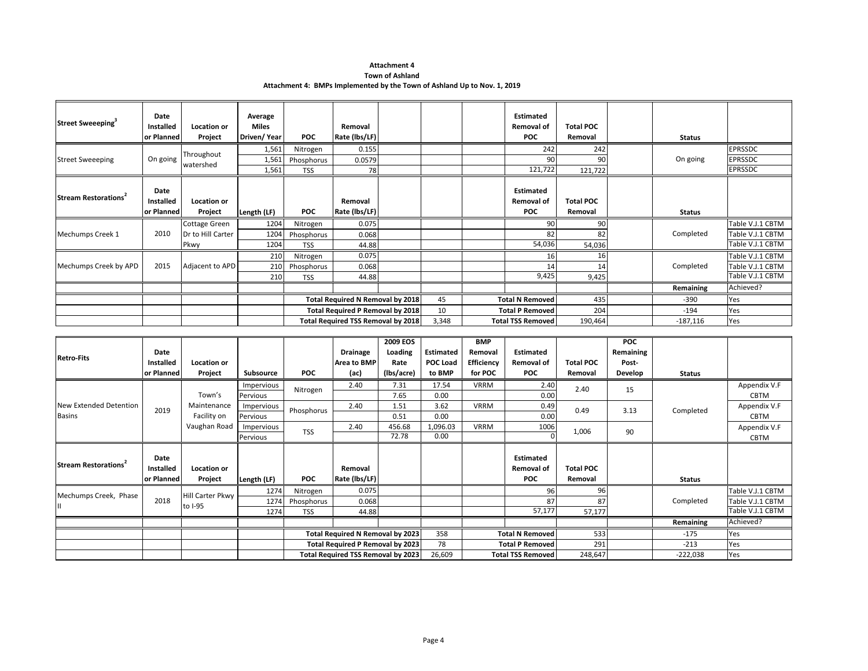#### **Town of Ashland**

**Attachment 4: BMPs Implemented by the Town of Ashland Up to Nov. 1, 2019**

| Street Sweeeping <sup>3</sup>    | Date<br>Installed<br>or Planned | Location or<br>Project | Average<br><b>Miles</b><br>Driven/Year | POC        | Removal<br>Rate (lbs/LF)                |       | <b>Estimated</b><br>Removal of<br><b>POC</b> | <b>Total POC</b><br>Removal | <b>Status</b> |                  |
|----------------------------------|---------------------------------|------------------------|----------------------------------------|------------|-----------------------------------------|-------|----------------------------------------------|-----------------------------|---------------|------------------|
|                                  |                                 | Throughout             | 1,561                                  | Nitrogen   | 0.155                                   |       | 242                                          | 242                         |               | <b>EPRSSDC</b>   |
| <b>Street Sweeeping</b>          | On going                        | watershed              | 1,561                                  | Phosphorus | 0.0579                                  |       | 90                                           | 90                          | On going      | <b>EPRSSDC</b>   |
|                                  |                                 |                        | 1,561                                  | <b>TSS</b> | 78                                      |       | 121,722                                      | 121,722                     |               | <b>EPRSSDC</b>   |
| Stream Restorations <sup>2</sup> | Date<br>Installed               | <b>Location or</b>     |                                        |            | Removal                                 |       | <b>Estimated</b><br><b>Removal of</b>        | <b>Total POC</b>            |               |                  |
|                                  | or Planned                      | Project                | Length (LF)                            | <b>POC</b> | Rate (lbs/LF)                           |       | <b>POC</b>                                   | Removal                     | <b>Status</b> |                  |
|                                  |                                 | Cottage Green          | 1204                                   | Nitrogen   | 0.075                                   |       | 90                                           | 90                          |               | Table V.J.1 CBTM |
| Mechumps Creek 1                 | 2010                            | Dr to Hill Carter      | 1204                                   | Phosphorus | 0.068                                   |       | 82                                           | 82                          | Completed     | Table V.J.1 CBTM |
|                                  |                                 | Pkwy                   | 1204                                   | <b>TSS</b> | 44.88                                   |       | 54,036                                       | 54,036                      |               | Table V.J.1 CBTM |
|                                  |                                 |                        | 210                                    | Nitrogen   | 0.075                                   |       | 16                                           | 16                          |               | Table V.J.1 CBTM |
| Mechumps Creek by APD            | 2015                            | Adjacent to APD        | 210                                    | Phosphorus | 0.068                                   |       | 14                                           | 14                          | Completed     | Table V.J.1 CBTM |
|                                  |                                 |                        | 210                                    | <b>TSS</b> | 44.88                                   |       | 9,425                                        | 9,425                       |               | Table V.J.1 CBTM |
|                                  |                                 |                        |                                        |            |                                         |       |                                              |                             | Remaining     | Achieved?        |
|                                  |                                 |                        |                                        |            | <b>Total Required N Removal by 2018</b> | 45    | <b>Total N Removed</b>                       | 435                         | $-390$        | Yes              |
|                                  |                                 |                        |                                        |            | Total Required P Removal by 2018        | 10    | <b>Total P Removed</b>                       | 204                         | $-194$        | Yes              |
|                                  |                                 |                        |                                        |            | Total Required TSS Removal by 2018      | 3,348 | <b>Total TSS Removed</b>                     | 190,464                     | $-187,116$    | Yes              |

|                                  |            |                  |             |            |                                    | 2009 EOS   |                  | <b>BMP</b>  |                          |                  | <b>POC</b> |               |                  |
|----------------------------------|------------|------------------|-------------|------------|------------------------------------|------------|------------------|-------------|--------------------------|------------------|------------|---------------|------------------|
| <b>Retro-Fits</b>                | Date       |                  |             |            | <b>Drainage</b>                    | Loading    | <b>Estimated</b> | Removal     | <b>Estimated</b>         |                  | Remaining  |               |                  |
|                                  | Installed  | Location or      |             |            | Area to BMP                        | Rate       | POC Load         | Efficiency  | <b>Removal of</b>        | <b>Total POC</b> | Post-      |               |                  |
|                                  | or Planned | Project          | Subsource   | <b>POC</b> | (ac)                               | (lbs/acre) | to BMP           | for POC     | <b>POC</b>               | Removal          | Develop    | <b>Status</b> |                  |
|                                  |            |                  | Impervious  | Nitrogen   | 2.40                               | 7.31       | 17.54            | <b>VRRM</b> | 2.40                     | 2.40             | 15         |               | Appendix V.F     |
|                                  |            | Town's           | Pervious    |            |                                    | 7.65       | 0.00             |             | 0.00                     |                  |            |               | <b>CBTM</b>      |
| New Extended Detention           | 2019       | Maintenance      | Impervious  | Phosphorus | 2.40                               | 1.51       | 3.62             | <b>VRRM</b> | 0.49                     | 0.49             | 3.13       | Completed     | Appendix V.F     |
| <b>Basins</b>                    |            | Facility on      | Pervious    |            |                                    | 0.51       | 0.00             |             | 0.00                     |                  |            |               | <b>CBTM</b>      |
|                                  |            | Vaughan Road     | Impervious  | <b>TSS</b> | 2.40                               | 456.68     | 1,096.03         | <b>VRRM</b> | 1006                     | 1,006            | 90         |               | Appendix V.F     |
|                                  |            |                  | Pervious    |            |                                    | 72.78      | 0.00             |             |                          |                  |            |               | <b>CBTM</b>      |
|                                  |            |                  |             |            |                                    |            |                  |             |                          |                  |            |               |                  |
|                                  | Date       |                  |             |            |                                    |            |                  |             | <b>Estimated</b>         |                  |            |               |                  |
| Stream Restorations <sup>2</sup> | Installed  | Location or      |             |            | Removal                            |            |                  |             | Removal of               | <b>Total POC</b> |            |               |                  |
|                                  | or Planned | Project          | Length (LF) | <b>POC</b> | Rate (lbs/LF)                      |            |                  |             | <b>POC</b>               | Removal          |            | <b>Status</b> |                  |
| Mechumps Creek, Phase            |            | Hill Carter Pkwy | 1274        | Nitrogen   | 0.075                              |            |                  |             | 96                       | 96               |            |               | Table V.J.1 CBTM |
|                                  | 2018       | to I-95          | 1274        | Phosphorus | 0.068                              |            |                  |             | 87                       | 87               |            | Completed     | Table V.J.1 CBTM |
|                                  |            |                  | 1274        | <b>TSS</b> | 44.88                              |            |                  |             | 57,177                   | 57,177           |            |               | Table V.J.1 CBTM |
|                                  |            |                  |             |            |                                    |            |                  |             |                          |                  |            | Remaining     | Achieved?        |
|                                  |            |                  |             |            | Total Required N Removal by 2023   |            | 358              |             | <b>Total N Removed</b>   | 533              |            | -175          | Yes              |
|                                  |            |                  |             |            | Total Required P Removal by 2023   |            | 78               |             | <b>Total P Removed</b>   | 291              |            | $-213$        | Yes              |
|                                  |            |                  |             |            | Total Required TSS Removal by 2023 |            | 26,609           |             | <b>Total TSS Removed</b> | 248,647          |            | $-222,038$    | Yes              |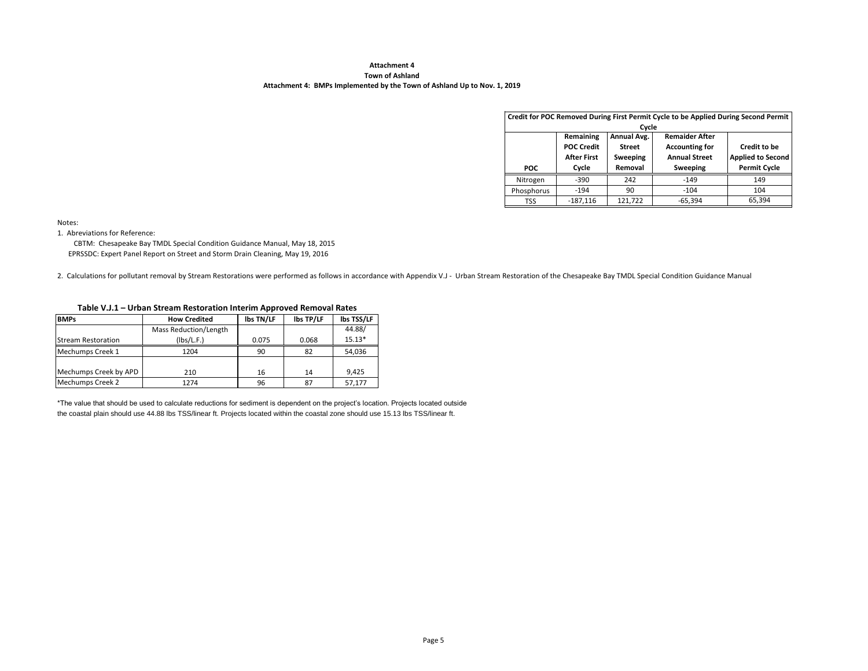#### **Town of Ashland Attachment 4: BMPs Implemented by the Town of Ashland Up to Nov. 1, 2019**

|            |                                                               | Cycle                                               | Credit for POC Removed During First Permit Cycle to be Applied During Second Permit |                                                                 |
|------------|---------------------------------------------------------------|-----------------------------------------------------|-------------------------------------------------------------------------------------|-----------------------------------------------------------------|
| <b>POC</b> | Remaining<br><b>POC Credit</b><br><b>After First</b><br>Cycle | Annual Avg.<br><b>Street</b><br>Sweeping<br>Removal | <b>Remaider After</b><br><b>Accounting for</b><br><b>Annual Street</b><br>Sweeping  | Credit to be<br><b>Applied to Second</b><br><b>Permit Cycle</b> |
| Nitrogen   | $-390$                                                        | 242                                                 | $-149$                                                                              | 149                                                             |
| Phosphorus | $-194$                                                        | 90                                                  | $-104$                                                                              | 104                                                             |
| TSS        | $-187,116$                                                    | 121.722                                             | $-65,394$                                                                           | 65,394                                                          |

Notes:

1. Abreviations for Reference:

 EPRSSDC: Expert Panel Report on Street and Storm Drain Cleaning, May 19, 2016 CBTM: Chesapeake Bay TMDL Special Condition Guidance Manual, May 18, 2015

2. Calculations for pollutant removal by Stream Restorations were performed as follows in accordance with Appendix V.J - Urban Stream Restoration of the Chesapeake Bay TMDL Special Condition Guidance Manual

#### **Table V.J.1 – Urban Stream Restoration Interim Approved Removal Rates**

| <b>BMPs</b>               | <b>How Credited</b>   | <b>Ibs TN/LF</b> | <b>Ibs TP/LF</b> | <b>Ibs TSS/LF</b> |
|---------------------------|-----------------------|------------------|------------------|-------------------|
|                           | Mass Reduction/Length |                  |                  | 44.88/            |
| <b>Stream Restoration</b> | (Ibs/L.F.)            | 0.075            | 0.068            | $15.13*$          |
| Mechumps Creek 1          | 1204                  | 90               | 82               | 54,036            |
|                           |                       |                  |                  |                   |
| Mechumps Creek by APD     | 210                   | 16               | 14               | 9,425             |
| Mechumps Creek 2          | 1274                  | 96               | 87               | 57.177            |

\*The value that should be used to calculate reductions for sediment is dependent on the project's location. Projects located outside the coastal plain should use 44.88 lbs TSS/linear ft. Projects located within the coastal zone should use 15.13 lbs TSS/linear ft.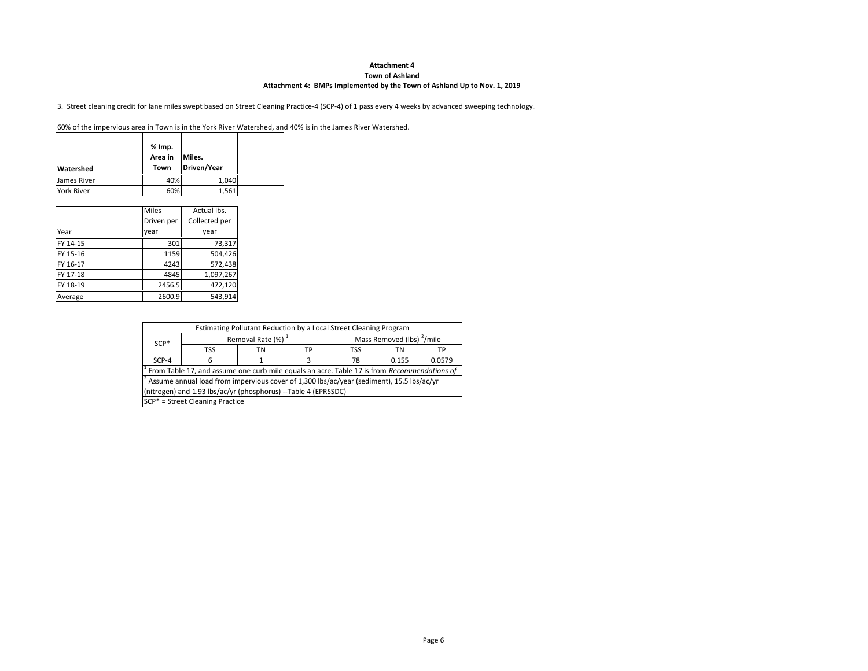#### **Town of Ashland**

#### **Attachment 4: BMPs Implemented by the Town of Ashland Up to Nov. 1, 2019**

3. Street cleaning credit for lane miles swept based on Street Cleaning Practice-4 (SCP-4) of 1 pass every 4 weeks by advanced sweeping technology.

60% of the impervious area in Town is in the York River Watershed, and 40% is in the James River Watershed.

| <b>Watershed</b>  | % Imp.<br>Area in<br>Town | Miles.<br>Driven/Year |  |
|-------------------|---------------------------|-----------------------|--|
| James River       | 40%                       | 1,040                 |  |
| <b>York River</b> | 60%                       | 1,561                 |  |

|          | <b>Miles</b> | Actual lbs.   |
|----------|--------------|---------------|
|          | Driven per   | Collected per |
| Year     | year         | vear          |
| FY 14-15 | 301          | 73,317        |
| FY 15-16 | 1159         | 504,426       |
| FY 16-17 | 4243         | 572,438       |
| FY 17-18 | 4845         | 1,097,267     |
| FY 18-19 | 2456.5       | 472,120       |
| Average  | 2600.9       | 543,914       |

|                                                                | Estimating Pollutant Reduction by a Local Street Cleaning Program                                               |  |  |  |  |    |  |  |  |  |  |  |
|----------------------------------------------------------------|-----------------------------------------------------------------------------------------------------------------|--|--|--|--|----|--|--|--|--|--|--|
| $SCP*$                                                         | Removal Rate (%) <sup>1</sup><br>Mass Removed (lbs) <sup>2</sup> /mile                                          |  |  |  |  |    |  |  |  |  |  |  |
| <b>TSS</b><br><b>TSS</b><br>ТP<br>ΤN<br>ΤN                     |                                                                                                                 |  |  |  |  | ТP |  |  |  |  |  |  |
| 0.0579<br>$SCP-4$<br>0.155<br>78<br>6                          |                                                                                                                 |  |  |  |  |    |  |  |  |  |  |  |
|                                                                | <sup>1</sup> From Table 17, and assume one curb mile equals an acre. Table 17 is from <i>Recommendations of</i> |  |  |  |  |    |  |  |  |  |  |  |
|                                                                | $\pm$ Assume annual load from impervious cover of 1,300 lbs/ac/year (sediment), 15.5 lbs/ac/yr                  |  |  |  |  |    |  |  |  |  |  |  |
| (nitrogen) and 1.93 lbs/ac/yr (phosphorus) --Table 4 (EPRSSDC) |                                                                                                                 |  |  |  |  |    |  |  |  |  |  |  |
|                                                                | SCP <sup>*</sup> = Street Cleaning Practice                                                                     |  |  |  |  |    |  |  |  |  |  |  |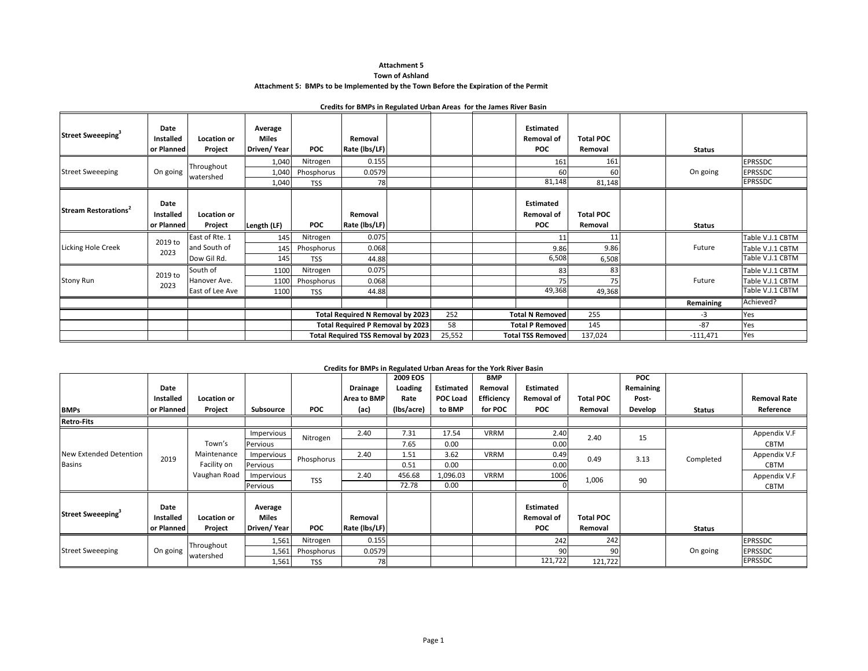#### **Attachment 5 Town of Ashland**

#### **Attachment 5: BMPs to be Implemented by the Town Before the Expiration of the Permit**

#### **Credits for BMPs in Regulated Urban Areas for the James River Basin**

| Street Sweeeping <sup>3</sup>    | Date<br><b>Installed</b><br>or Planned | Location or<br>Project         | Average<br><b>Miles</b><br>Driven/Year | <b>POC</b>               | Removal<br>Rate (lbs/LF)                |        | <b>Estimated</b><br><b>Removal of</b><br><b>POC</b> | <b>Total POC</b><br>Removal | Status        |                                      |
|----------------------------------|----------------------------------------|--------------------------------|----------------------------------------|--------------------------|-----------------------------------------|--------|-----------------------------------------------------|-----------------------------|---------------|--------------------------------------|
|                                  |                                        | Throughout                     | 1,040                                  | Nitrogen                 | 0.155                                   |        | 161                                                 | 161                         |               | <b>EPRSSDC</b>                       |
| <b>Street Sweeeping</b>          | On going                               | watershed                      | 1,040                                  | Phosphorus               | 0.0579                                  |        | 60                                                  | 60                          | On going      | <b>EPRSSDC</b>                       |
|                                  |                                        |                                | 1,040                                  | <b>TSS</b>               | 78                                      |        | 81,148                                              | 81,148                      |               | <b>EPRSSDC</b>                       |
| Stream Restorations <sup>2</sup> | Date<br>Installed<br>or Planned        | Location or<br>Project         |                                        | <b>POC</b>               | Removal<br>Rate (Ibs/LF)                |        | <b>Estimated</b><br><b>Removal of</b><br><b>POC</b> | <b>Total POC</b><br>Removal |               |                                      |
|                                  |                                        |                                | Length (LF)                            |                          | 0.075                                   |        |                                                     | 11                          | <b>Status</b> | Table V.J.1 CBTM                     |
| <b>Licking Hole Creek</b>        | 2019 to                                | East of Rte. 1<br>and South of | 145                                    | Nitrogen                 |                                         |        | 11                                                  |                             |               |                                      |
|                                  | 2023                                   | Dow Gil Rd.                    | 145<br>145                             | Phosphorus<br><b>TSS</b> | 0.068<br>44.88                          |        | 9.86<br>6,508                                       | 9.86<br>6,508               | Future        | Table V.J.1 CBTM<br>Table V.J.1 CBTM |
|                                  |                                        | South of                       | 1100                                   | Nitrogen                 | 0.075                                   |        |                                                     | 83                          |               | Table V.J.1 CBTM                     |
| <b>Stony Run</b>                 | 2019 to                                | Hanover Ave.                   |                                        |                          | 0.068                                   |        | 83<br>75                                            | 75                          | Future        | Table V.J.1 CBTM                     |
|                                  | 2023                                   | East of Lee Ave                | 1100                                   | Phosphorus               |                                         |        | 49,368                                              |                             |               | Table V.J.1 CBTM                     |
|                                  |                                        |                                | 1100                                   | <b>TSS</b>               | 44.88                                   |        |                                                     | 49,368                      |               | Achieved?                            |
|                                  |                                        |                                |                                        |                          |                                         |        |                                                     |                             | Remaining     |                                      |
|                                  |                                        |                                |                                        |                          | Total Required N Removal by 2023        | 252    | <b>Total N Removed</b>                              | 255                         | $-3$          | Yes                                  |
|                                  |                                        |                                |                                        |                          | <b>Total Required P Removal by 2023</b> | 58     | <b>Total P Removed</b>                              | 145                         | $-87$         | Yes                                  |
|                                  |                                        |                                |                                        |                          | Total Required TSS Removal by 2023      | 25,552 | <b>Total TSS Removed</b>                            | 137,024                     | $-111,471$    | Yes                                  |

#### **Credits for BMPs in Regulated Urban Areas for the York River Basin**

|                               |                  |              |             |            | creates for bivit's in Regulated Orban Areas for the Tork Kiver basin | <b>2009 EOS</b> |                 | <b>BMP</b>  |                   |                  | <b>POC</b> |               |                     |
|-------------------------------|------------------|--------------|-------------|------------|-----------------------------------------------------------------------|-----------------|-----------------|-------------|-------------------|------------------|------------|---------------|---------------------|
|                               | Date             |              |             |            | <b>Drainage</b>                                                       | Loading         | Estimated       | Removal     | Estimated         |                  | Remaining  |               |                     |
|                               | <b>Installed</b> | Location or  |             |            | Area to BMP                                                           | Rate            | <b>POC Load</b> | Efficiency  | <b>Removal of</b> | <b>Total POC</b> | Post-      |               | <b>Removal Rate</b> |
| <b>BMPs</b>                   | or Planned       | Project      | Subsource   | <b>POC</b> | (ac)                                                                  | (lbs/acre)      | to BMP          | for POC     | <b>POC</b>        | Removal          | Develop    | <b>Status</b> | Reference           |
| <b>Retro-Fits</b>             |                  |              |             |            |                                                                       |                 |                 |             |                   |                  |            |               |                     |
|                               |                  |              | Impervious  | Nitrogen   | 2.40                                                                  | 7.31            | 17.54           | <b>VRRM</b> | 2.40              | 2.40             | 15         |               | Appendix V.F        |
|                               |                  | Town's       | Pervious    |            |                                                                       | 7.65            | 0.00            |             | 0.00              |                  |            |               | CBTM                |
| New Extended Detention        | 2019             | Maintenance  | Impervious  | Phosphorus | 2.40                                                                  | 1.51            | 3.62            | <b>VRRM</b> | 0.49              | 0.49             | 3.13       | Completed     | Appendix V.F        |
| <b>Basins</b>                 |                  | Facility on  | Pervious    |            |                                                                       | 0.51            | 0.00            |             | 0.00              |                  |            |               | <b>CBTM</b>         |
|                               |                  | Vaughan Road | Impervious  | <b>TSS</b> | 2.40                                                                  | 456.68          | 1,096.03        | <b>VRRM</b> | 1006              | 1,006            | 90         |               | Appendix V.F        |
|                               |                  |              | Pervious    |            |                                                                       | 72.78           | 0.00            |             |                   |                  |            |               | CBTM                |
|                               |                  |              |             |            |                                                                       |                 |                 |             |                   |                  |            |               |                     |
| Street Sweeeping <sup>3</sup> | Date             |              | Average     |            |                                                                       |                 |                 |             | <b>Estimated</b>  |                  |            |               |                     |
|                               | <b>Installed</b> | Location or  | Miles       |            | Removal                                                               |                 |                 |             | <b>Removal of</b> | <b>Total POC</b> |            |               |                     |
|                               | or Planned       | Project      | Driven/Year | <b>POC</b> | Rate (lbs/LF)                                                         |                 |                 |             | <b>POC</b>        | Removal          |            | <b>Status</b> |                     |
|                               |                  | Throughout   | 1,561       | Nitrogen   | 0.155                                                                 |                 |                 |             | 242               | 242              |            |               | <b>EPRSSDC</b>      |
| <b>Street Sweeeping</b>       | On going         | watershed    | 1,561       | Phosphorus | 0.0579                                                                |                 |                 |             | 90                | 90               |            | On going      | <b>EPRSSDC</b>      |
|                               |                  |              | 1,561       | <b>TSS</b> | 78                                                                    |                 |                 |             | 121,722           | 121,722          |            |               | <b>EPRSSDC</b>      |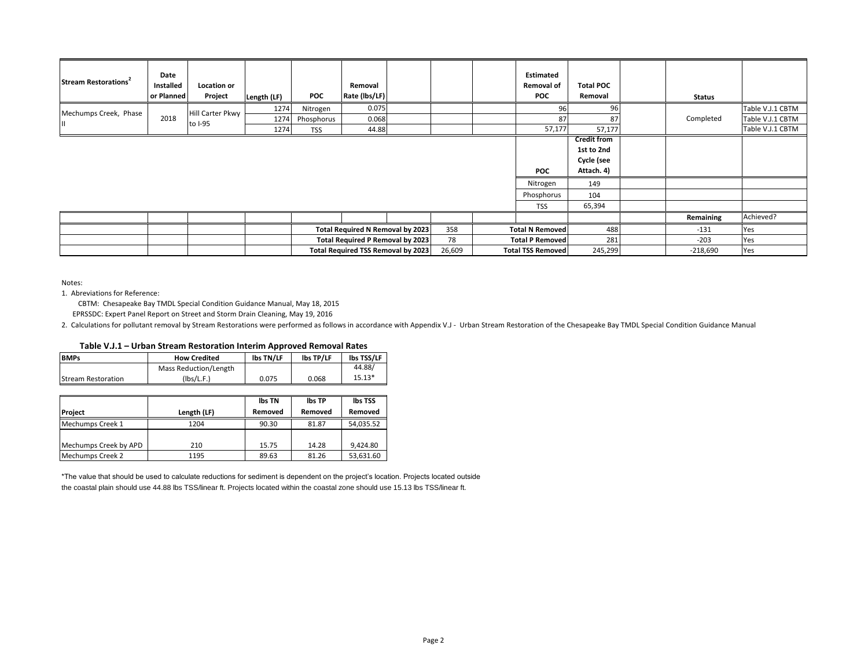| Stream Restorations <sup>2</sup> | Date<br>Installed<br>or Planned | Location or<br>Project  | Length (LF)  | POC                      | Removal<br>Rate (lbs/LF)                  |        | Estimated<br><b>Removal of</b><br><b>POC</b>       | <b>Total POC</b><br>Removal                                                          | <b>Status</b> |                                      |
|----------------------------------|---------------------------------|-------------------------|--------------|--------------------------|-------------------------------------------|--------|----------------------------------------------------|--------------------------------------------------------------------------------------|---------------|--------------------------------------|
| Mechumps Creek, Phase            | 2018                            | <b>Hill Carter Pkwy</b> | 1274         | Nitrogen                 | 0.075                                     |        | 96                                                 | 96                                                                                   |               | Table V.J.1 CBTM                     |
|                                  |                                 | to I-95                 | 1274<br>1274 | Phosphorus<br><b>TSS</b> | 0.068<br>44.88                            |        | 87<br>57,177                                       | 87<br>57,177                                                                         | Completed     | Table V.J.1 CBTM<br>Table V.J.1 CBTM |
|                                  |                                 |                         |              |                          |                                           |        | <b>POC</b><br>Nitrogen<br>Phosphorus<br><b>TSS</b> | <b>Credit from</b><br>1st to 2nd<br>Cycle (see<br>Attach. 4)<br>149<br>104<br>65,394 |               |                                      |
|                                  |                                 |                         |              |                          |                                           |        |                                                    |                                                                                      | Remaining     | Achieved?                            |
|                                  |                                 |                         |              |                          | Total Required N Removal by 2023          | 358    | <b>Total N Removed</b>                             | 488                                                                                  | $-131$        | Yes                                  |
|                                  |                                 |                         |              |                          | <b>Total Required P Removal by 2023</b>   | 78     | <b>Total P Removed</b>                             | 281                                                                                  | $-203$        | Yes                                  |
|                                  |                                 |                         |              |                          | <b>Total Required TSS Removal by 2023</b> | 26,609 | <b>Total TSS Removed</b>                           | 245,299                                                                              | $-218,690$    | Yes                                  |

Notes:

1. Abreviations for Reference:

CBTM: Chesapeake Bay TMDL Special Condition Guidance Manual, May 18, 2015

EPRSSDC: Expert Panel Report on Street and Storm Drain Cleaning, May 19, 2016

2. Calculations for pollutant removal by Stream Restorations were performed as follows in accordance with Appendix V.J - Urban Stream Restoration of the Chesapeake Bay TMDL Special Condition Guidance Manual

| <b>BMPs</b>        | <b>How Credited</b>   | lbs TN/LF | lbs TP/LF | <b>Ibs TSS/LF</b> |
|--------------------|-----------------------|-----------|-----------|-------------------|
|                    | Mass Reduction/Length |           |           | 44.88/            |
| Stream Restoration | (Ibs/L.F.)            | 0.075     | 0.068     | $15.13*$          |

|                       |             | lbs TN  | <b>Ibs TP</b> | lbs TSS   |
|-----------------------|-------------|---------|---------------|-----------|
| Project               | Length (LF) | Removed | Removed       | Removed   |
| Mechumps Creek 1      | 1204        | 90.30   | 81.87         | 54,035.52 |
|                       |             |         |               |           |
| Mechumps Creek by APD | 210         | 15.75   | 14.28         | 9.424.80  |
| Mechumps Creek 2      | 1195        | 89.63   | 81.26         | 53.631.60 |

\*The value that should be used to calculate reductions for sediment is dependent on the project's location. Projects located outside the coastal plain should use 44.88 lbs TSS/linear ft. Projects located within the coastal zone should use 15.13 lbs TSS/linear ft.